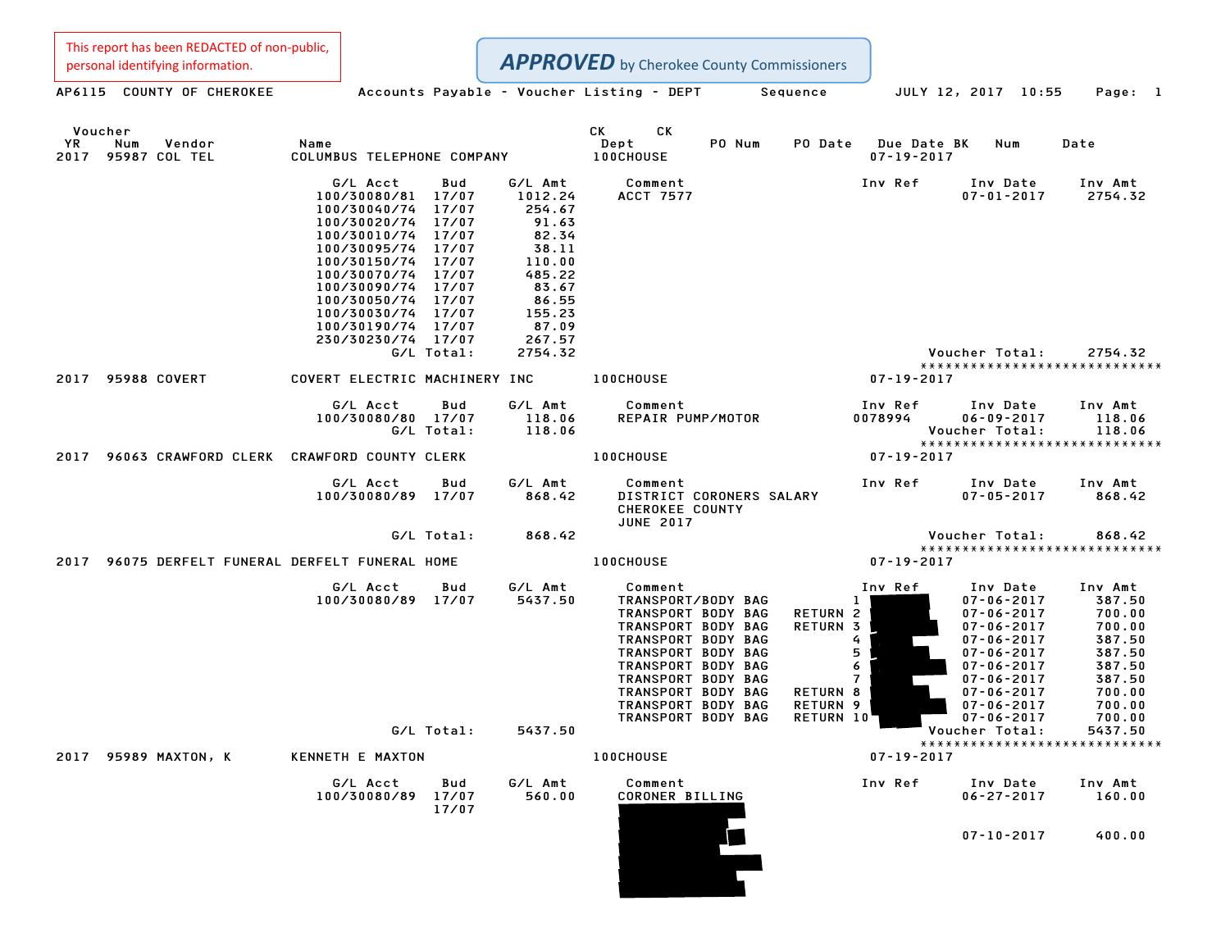This report has been REDACTED of non-public,<br>personal identifying information.

|            | personal identifying information.          |                                                                                                                                                                                                                                                                |                                |                                                                                                                            | <b>APPROVED</b> by Cherokee County Commissioners                                                                                                                                                              |                          |                                                                                                             |                                 |                                                                                                                                                                                              |                                                                                                   |
|------------|--------------------------------------------|----------------------------------------------------------------------------------------------------------------------------------------------------------------------------------------------------------------------------------------------------------------|--------------------------------|----------------------------------------------------------------------------------------------------------------------------|---------------------------------------------------------------------------------------------------------------------------------------------------------------------------------------------------------------|--------------------------|-------------------------------------------------------------------------------------------------------------|---------------------------------|----------------------------------------------------------------------------------------------------------------------------------------------------------------------------------------------|---------------------------------------------------------------------------------------------------|
|            | AP6115 COUNTY OF CHEROKEE                  |                                                                                                                                                                                                                                                                |                                |                                                                                                                            | Accounts Payable - Voucher Listing - DEPT                                                                                                                                                                     |                          | Sequence                                                                                                    |                                 | JULY 12, 2017 10:55                                                                                                                                                                          | Page: 1                                                                                           |
| YR<br>2017 | Voucher<br>Num<br>Vendor<br>95987 COL TEL  | Name<br>COLUMBUS TELEPHONE COMPANY                                                                                                                                                                                                                             |                                |                                                                                                                            | CK<br>СK<br>Dept<br><b>100CHOUSE</b>                                                                                                                                                                          | PO Num                   | PO Date                                                                                                     | Due Date BK<br>$07 - 19 - 2017$ | Num                                                                                                                                                                                          | Date                                                                                              |
|            |                                            | G/L Acct<br>100/30080/81<br>100/30040/74<br>100/30020/74<br>100/30010/74 17/07<br>100/30095/74 17/07<br>100/30150/74 17/07<br>100/30070/74 17/07<br>100/30090/74 17/07<br>100/30050/74 17/07<br>100/30030/74 17/07<br>100/30190/74 17/07<br>230/30230/74 17/07 | Bud<br>17/07<br>17/07<br>17/07 | G/L Amt<br>1012.24<br>254.67<br>91.63<br>82.34<br>38.11<br>110.00<br>485.22<br>83.67<br>86.55<br>155.23<br>87.09<br>267.57 | Comment<br>ACCT 7577                                                                                                                                                                                          |                          |                                                                                                             | Inv Ref                         | Inv Date<br>$07 - 01 - 2017$                                                                                                                                                                 | Inv Amt<br>2754.32                                                                                |
|            |                                            |                                                                                                                                                                                                                                                                | G/L Total:                     | 2754.32                                                                                                                    |                                                                                                                                                                                                               |                          |                                                                                                             |                                 | Voucher Total:                                                                                                                                                                               | 2754.32<br>******************************                                                         |
| 2017       | <b>95988 COVERT</b>                        | COVERT ELECTRIC MACHINERY INC                                                                                                                                                                                                                                  |                                |                                                                                                                            | <b>100CHOUSE</b>                                                                                                                                                                                              |                          |                                                                                                             | $07 - 19 - 2017$                |                                                                                                                                                                                              |                                                                                                   |
|            |                                            | G/L Acct<br>100/30080/80 17/07                                                                                                                                                                                                                                 | Bud<br>G/L Total:              | G/L Amt<br>118.06<br>118.06                                                                                                | Comment<br>REPAIR PUMP/MOTOR                                                                                                                                                                                  |                          |                                                                                                             | Inv Ref<br>0078994              | Inv Date<br>$06 - 09 - 2017$<br>Voucher Total:                                                                                                                                               | Inv Amt<br>118.06<br>118.06<br>*****************************                                      |
| 2017       | 96063 CRAWFORD CLERK CRAWFORD COUNTY CLERK |                                                                                                                                                                                                                                                                |                                |                                                                                                                            | <b>100CHOUSE</b>                                                                                                                                                                                              |                          |                                                                                                             | $07 - 19 - 2017$                |                                                                                                                                                                                              |                                                                                                   |
|            |                                            | G/L Acct<br>100/30080/89 17/07                                                                                                                                                                                                                                 | Bud                            | G/L Amt<br>868.42                                                                                                          | Comment<br>CHEROKEE COUNTY<br><b>JUNE 2017</b>                                                                                                                                                                | DISTRICT CORONERS SALARY |                                                                                                             | Inv Ref                         | Inv Date<br>$07 - 05 - 2017$                                                                                                                                                                 | Inv Amt<br>868.42                                                                                 |
|            |                                            |                                                                                                                                                                                                                                                                | G/L Total:                     | 868.42                                                                                                                     |                                                                                                                                                                                                               |                          |                                                                                                             |                                 | Voucher Total:                                                                                                                                                                               | 868.42<br>*****************************                                                           |
| 2017       | 96075 DERFELT FUNERAL DERFELT FUNERAL HOME |                                                                                                                                                                                                                                                                |                                |                                                                                                                            | <b>100CHOUSE</b>                                                                                                                                                                                              |                          |                                                                                                             | $07 - 19 - 2017$                |                                                                                                                                                                                              |                                                                                                   |
|            |                                            | G/L Acct<br>100/30080/89 17/07                                                                                                                                                                                                                                 | Bud                            | G/L Amt<br>5437.50                                                                                                         | Comment<br>TRANSPORT/BODY BAG<br>TRANSPORT BODY BAG<br>TRANSPORT BODY BAG<br>TRANSPORT BODY BAG<br>TRANSPORT BODY BAG<br>TRANSPORT BODY BAG<br>TRANSPORT BODY BAG<br>TRANSPORT BODY BAG<br>TRANSPORT BODY BAG |                          | 1.<br><b>RETURN 2</b><br>RETURN 3<br>4<br>5 <sub>1</sub><br>6<br>$7^{\circ}$<br>RETURN 8<br><b>RETURN 9</b> | Inv Ref                         | Inv Date<br>$07 - 06 - 2017$<br>$07 - 06 - 2017$<br>$07 - 06 - 2017$<br>$07 - 06 - 2017$<br>$07 - 06 - 2017$<br>$07 - 06 - 2017$<br>$07 - 06 - 2017$<br>$07 - 06 - 2017$<br>$07 - 06 - 2017$ | Inv Amt<br>387.50<br>700.00<br>700.00<br>387.50<br>387.50<br>387.50<br>387.50<br>700.00<br>700.00 |
|            |                                            |                                                                                                                                                                                                                                                                | G/L Total:                     | 5437.50                                                                                                                    | TRANSPORT BODY BAG                                                                                                                                                                                            |                          | <b>RETURN 10'</b>                                                                                           |                                 | $07 - 06 - 2017$<br>Voucher Total:                                                                                                                                                           | 700.00<br>5437.50                                                                                 |
|            | 2017 95989 MAXTON, K                       | KENNETH E MAXTON                                                                                                                                                                                                                                               |                                |                                                                                                                            | <b>100CHOUSE</b>                                                                                                                                                                                              |                          |                                                                                                             | $07 - 19 - 2017$                |                                                                                                                                                                                              | *****************************                                                                     |
|            |                                            | G/L Acct<br>100/30080/89                                                                                                                                                                                                                                       | Bud<br>17/07<br>17/07          | G/L Amt<br>560.00                                                                                                          | Comment<br>CORONER BILLING                                                                                                                                                                                    |                          |                                                                                                             | Inv Ref                         | Inv Date<br>$06 - 27 - 2017$                                                                                                                                                                 | Inv Amt<br>160.00                                                                                 |
|            |                                            |                                                                                                                                                                                                                                                                |                                |                                                                                                                            |                                                                                                                                                                                                               |                          |                                                                                                             |                                 | $07 - 10 - 2017$                                                                                                                                                                             | 400.00                                                                                            |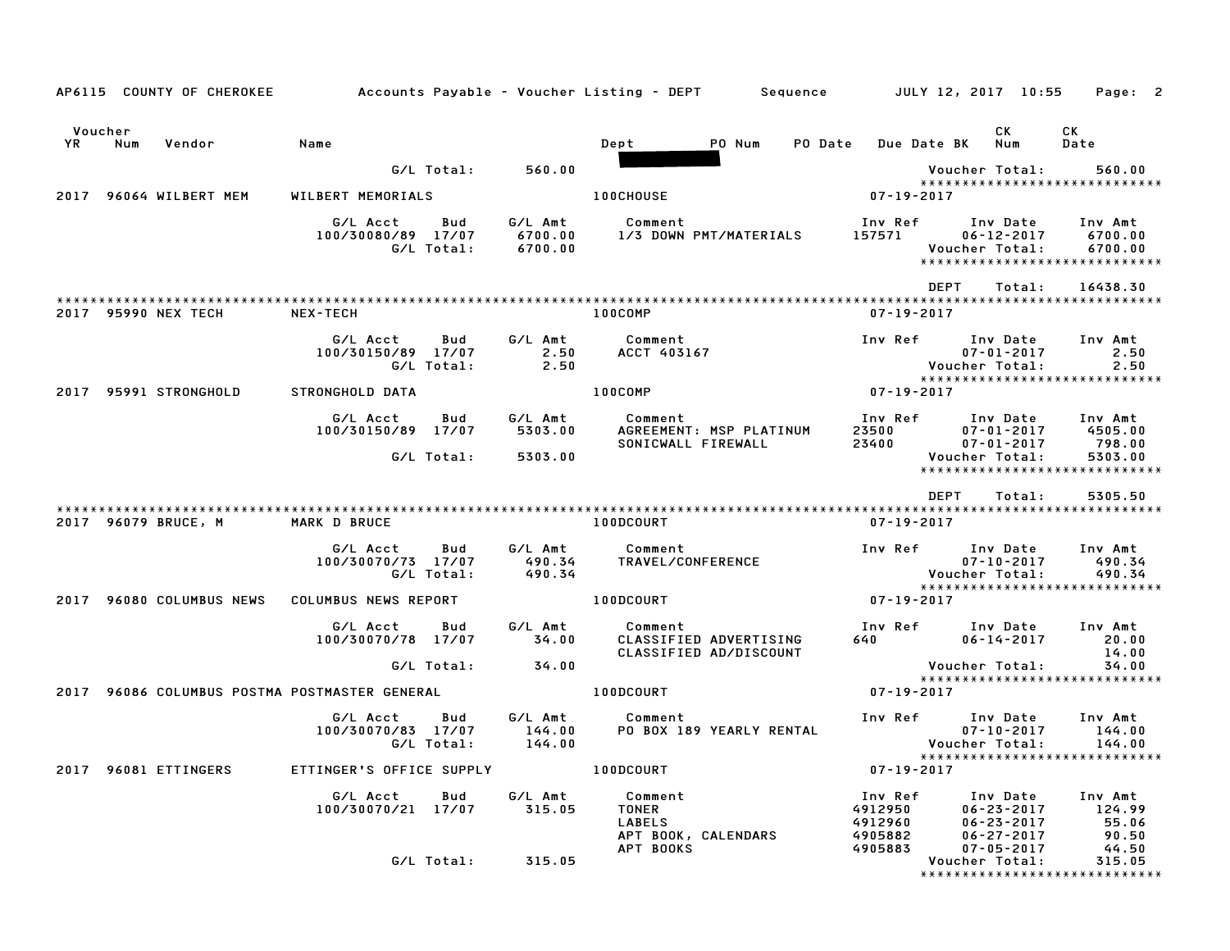|               |     | AP6115 COUNTY OF CHEROKEE | Accounts Payable – Voucher Listing – DEPT         Sequence |                   |                               |                                          |                                                  |         |                                                     | JULY 12, 2017 10:55             |                                                                      |        | Page: 2                                                        |  |
|---------------|-----|---------------------------|------------------------------------------------------------|-------------------|-------------------------------|------------------------------------------|--------------------------------------------------|---------|-----------------------------------------------------|---------------------------------|----------------------------------------------------------------------|--------|----------------------------------------------------------------|--|
| Voucher<br>YR | Num | Vendor                    | Name                                                       |                   |                               | Dept                                     | PO Num                                           | PO Date |                                                     | <b>Due Date BK</b>              | СK<br>Num                                                            |        | СK<br>Date                                                     |  |
|               |     |                           |                                                            | G/L Total:        | 560.00                        |                                          |                                                  |         |                                                     |                                 | Voucher Total:                                                       |        | 560.00                                                         |  |
| 2017          |     | 96064 WILBERT MEM         | WILBERT MEMORIALS                                          |                   |                               | <b>100CHOUSE</b>                         |                                                  |         |                                                     | $07 - 19 - 2017$                |                                                                      |        | *****************************                                  |  |
|               |     |                           | G/L Acct<br>100/30080/89 17/07                             | Bud<br>G/L Total: | G/L Amt<br>6700.00<br>6700.00 | Comment                                  | 1/3 DOWN PMT/MATERIALS                           |         | Inv Ref<br>157571                                   |                                 | Inv Date<br>$06 - 12 - 2017$<br>Voucher Total:                       |        | Inv Amt<br>6700.00<br>6700.00<br>***************************** |  |
|               |     |                           |                                                            |                   |                               |                                          |                                                  |         |                                                     | <b>DEPT</b>                     |                                                                      | Total: | 16438.30                                                       |  |
|               |     | 2017 95990 NEX TECH       | NEX-TECH                                                   |                   |                               | 100COMP                                  |                                                  |         |                                                     | $07 - 19 - 2017$                |                                                                      |        |                                                                |  |
|               |     |                           | G/L Acct<br>100/30150/89 17/07                             | Bud<br>G/L Total: | G/L Amt<br>2.50<br>2.50       | Comment<br>ACCT 403167                   |                                                  |         | Inv Ref                                             |                                 | Inv Date<br>$07 - 01 - 2017$<br>Voucher Total:                       |        | Inv Amt<br>2.50<br>2.50                                        |  |
| 2017          |     | 95991 STRONGHOLD          | <b>STRONGHOLD DATA</b>                                     |                   |                               | 100COMP                                  |                                                  |         |                                                     | $07 - 19 - 2017$                |                                                                      |        | *****************************                                  |  |
|               |     |                           | G/L Acct                                                   | Bud               | G/L Amt                       | Comment                                  |                                                  |         | Inv Ref                                             |                                 | Inv Date                                                             |        | Inv Amt                                                        |  |
|               |     |                           | 100/30150/89 17/07                                         | G/L Total:        | 5303.00<br>5303.00            |                                          | AGREEMENT: MSP PLATINUM<br>SONICWALL FIREWALL    |         | 23500<br>23400                                      |                                 | $07 - 01 - 2017$<br>$07 - 01 - 2017$<br>Voucher Total:               |        | 4505.00<br>798.00<br>5303.00                                   |  |
|               |     |                           |                                                            |                   |                               |                                          |                                                  |         |                                                     |                                 |                                                                      |        | ******************************                                 |  |
|               |     | 2017 96079 BRUCE, M       | MARK D BRUCE                                               |                   |                               | 100DCOURT                                |                                                  |         |                                                     | <b>DEPT</b><br>$07 - 19 - 2017$ |                                                                      | Total: | 5305.50                                                        |  |
|               |     |                           | G/L Acct<br>100/30070/73 17/07                             | Bud<br>G/L Total: | G/L Amt<br>490.34<br>490.34   | Comment<br>TRAVEL/CONFERENCE             |                                                  |         | Inv Ref                                             |                                 | Inv Date<br>$07 - 10 - 2017$<br>Voucher Total:                       |        | Inv Amt<br>490.34<br>490.34<br>*****************************   |  |
|               |     | 2017 96080 COLUMBUS NEWS  | COLUMBUS NEWS REPORT                                       |                   |                               | 100DCOURT                                |                                                  |         |                                                     | $07 - 19 - 2017$                |                                                                      |        |                                                                |  |
|               |     |                           | G/L Acct<br>100/30070/78 17/07                             | Bud               | G/L Amt<br>34.00              | Comment                                  | CLASSIFIED ADVERTISING<br>CLASSIFIED AD/DISCOUNT |         | Inv Ref<br>640                                      |                                 | Inv Date<br>$06 - 14 - 2017$                                         |        | Inv Amt<br>20.00<br>14.00                                      |  |
|               |     |                           |                                                            | G/L Total:        | 34.00                         |                                          |                                                  |         |                                                     |                                 | Voucher Total:                                                       |        | 34.00                                                          |  |
| 2017          |     |                           | 96086 COLUMBUS POSTMA POSTMASTER GENERAL                   |                   |                               | 100DCOURT                                |                                                  |         |                                                     | $07 - 19 - 2017$                |                                                                      |        | *****************************                                  |  |
|               |     |                           | G/L Acct<br>100/30070/83 17/07                             | Bud<br>G/L Total: | G/L Amt<br>144.00<br>144.00   | Comment                                  | PO BOX 189 YEARLY RENTAL                         |         | Inv Ref                                             |                                 | Inv Date<br>$07 - 10 - 2017$<br>Voucher Total:                       |        | Inv Amt<br>144.00<br>144.00                                    |  |
| 2017          |     | 96081 ETTINGERS           | ETTINGER'S OFFICE SUPPLY                                   |                   |                               | 100DCOURT                                |                                                  |         |                                                     | $07 - 19 - 2017$                |                                                                      |        | *****************************                                  |  |
|               |     |                           | G/L Acct<br>100/30070/21 17/07                             | Bud               | G/L Amt<br>315.05             | Comment<br><b>TONER</b><br><b>LABELS</b> | APT BOOK, CALENDARS                              |         | Inv Ref<br>4912950<br>4912960<br>4905882<br>4905883 |                                 | Inv Date<br>$06 - 23 - 2017$<br>$06 - 23 - 2017$<br>$06 - 27 - 2017$ |        | Inv Amt<br>124.99<br>55.06<br>90.50                            |  |
|               |     |                           |                                                            | G/L Total:        | 315.05                        | APT BOOKS                                |                                                  |         |                                                     |                                 | $07 - 05 - 2017$<br>Voucher Total:                                   |        | 44.50<br>315.05<br>*****************************               |  |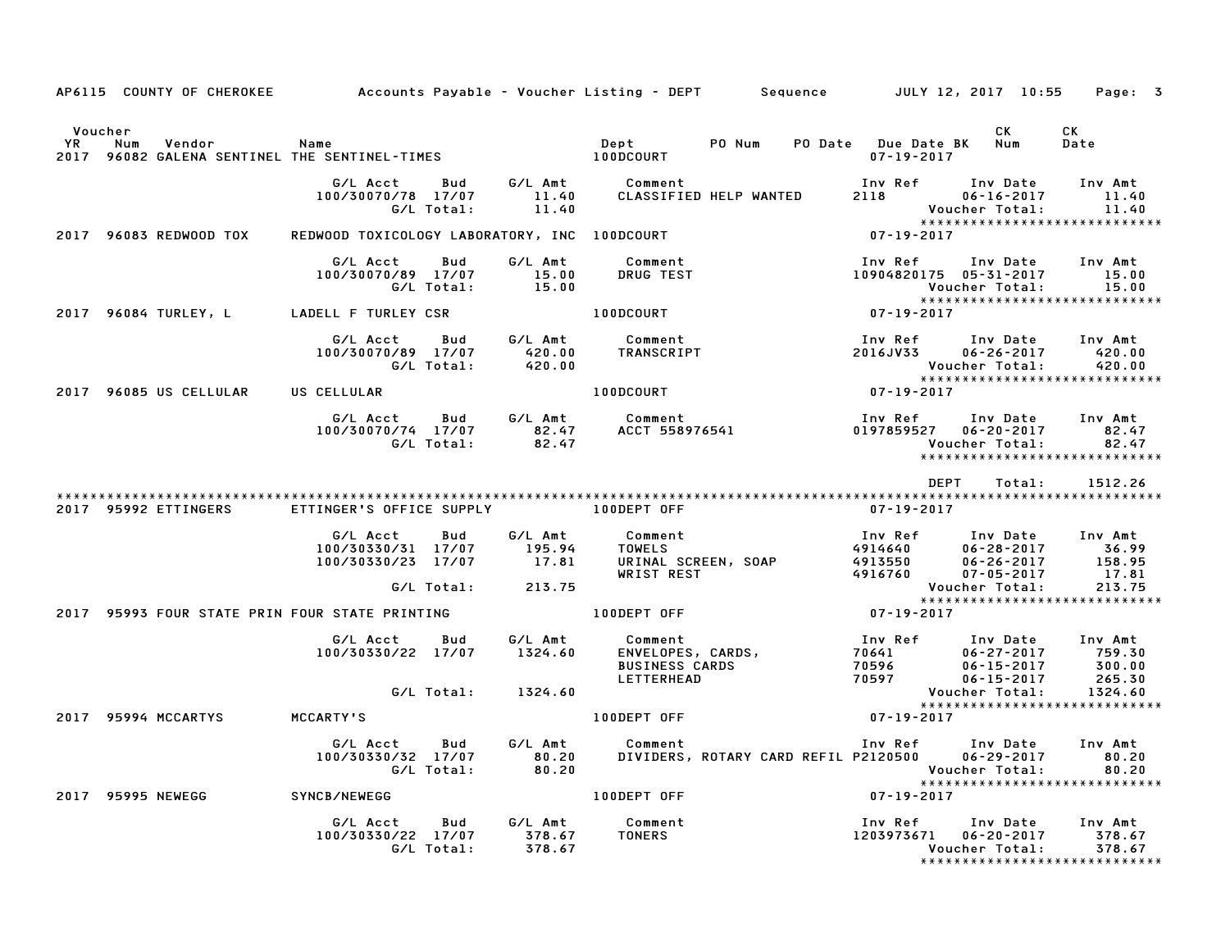|                              | AP6115 COUNTY OF CHEROKEE                                 | Accounts Payable – Voucher Listing – DEPT         Sequence         JULY 12, 2017  10:55     Page:   3 |                   |                             |                                                                     |                                      |                                          |                                                                                        |                                       |
|------------------------------|-----------------------------------------------------------|-------------------------------------------------------------------------------------------------------|-------------------|-----------------------------|---------------------------------------------------------------------|--------------------------------------|------------------------------------------|----------------------------------------------------------------------------------------|---------------------------------------|
| Voucher<br><b>YR</b><br>2017 | Num<br>Vendor<br>96082 GALENA SENTINEL THE SENTINEL-TIMES | Name                                                                                                  |                   |                             | Dept<br>100DCOURT                                                   | PO Num                               | PO Date Due Date BK<br>$07 - 19 - 2017$  | CK.<br>Num                                                                             | CK<br>Date                            |
|                              |                                                           | G/L Acct<br>100/30070/78 17/07                                                                        | Bud<br>G/L Total: | G/L Amt<br>11.40<br>11.40   | Comment                                                             | CLASSIFIED HELP WANTED               | Inv Ref<br>2118                          | Inv Date<br>$06 - 16 - 2017$<br>Voucher Total:<br>******************************       | Inv Amt<br>11.40<br>11.40             |
|                              | 2017 96083 REDWOOD TOX                                    | REDWOOD TOXICOLOGY LABORATORY, INC 100DCOURT                                                          |                   |                             |                                                                     |                                      | $07 - 19 - 2017$                         |                                                                                        |                                       |
|                              |                                                           | G/L Acct<br>100/30070/89 17/07                                                                        | Bud<br>G/L Total: | G/L Amt<br>15.00<br>15.00   | Comment<br><b>DRUG TEST</b>                                         |                                      | Inv Ref                                  | Inv Date<br>10904820175 05-31-2017<br>Voucher Total:<br>****************************** | Inv Amt<br>15.00<br>15.00             |
|                              | 2017 96084 TURLEY, L                                      | LADELL F TURLEY CSR                                                                                   |                   |                             | 100DCOURT                                                           |                                      | $07 - 19 - 2017$                         |                                                                                        |                                       |
|                              |                                                           | G/L Acct<br>100/30070/89 17/07                                                                        | Bud<br>G/L Total: | G/L Amt<br>420.00<br>420.00 | Comment<br>TRANSCRIPT                                               |                                      | Inv Ref<br>2016JV33                      | Inv Date<br>$06 - 26 - 2017$<br>Voucher Total:                                         | Inv Amt<br>420.00<br>420.00           |
|                              | 2017 96085 US CELLULAR                                    | US CELLULAR                                                                                           |                   |                             | 100DCOURT                                                           |                                      | 07-19-2017                               | *****************************                                                          |                                       |
|                              |                                                           | G/L Acct<br>100/30070/74 17/07                                                                        | Bud<br>G/L Total: | G/L Amt<br>82.47<br>82.47   | Comment                                                             | ACCT 558976541                       | Inv Ref                                  | Inv Date<br>0197859527 06-20-2017<br>Voucher Total:<br>*****************************   | Inv Amt<br>82.47<br>82.47             |
|                              |                                                           |                                                                                                       |                   |                             |                                                                     |                                      |                                          | <b>DEPT</b><br>Total:                                                                  | 1512.26                               |
|                              | 2017 95992 ETTINGERS                                      | ETTINGER'S OFFICE SUPPLY                                                                              |                   |                             | 100DEPT OFF                                                         |                                      | 07-19-2017                               |                                                                                        |                                       |
|                              |                                                           | G/L Acct<br>100/30330/31 17/07<br>100/30330/23                                                        | Bud<br>17/07      | G/L Amt<br>195.94<br>17.81  | Comment<br><b>TOWELS</b><br>WRIST REST                              | URINAL SCREEN, SOAP                  | Inv Ref<br>4914640<br>4913550<br>4916760 | Inv Date<br>$06 - 28 - 2017$<br>$06 - 26 - 2017$<br>$07 - 05 - 2017$                   | Inv Amt<br>36.99<br>158.95<br>17.81   |
|                              |                                                           |                                                                                                       | G/L Total:        | 213.75                      |                                                                     |                                      |                                          | Voucher Total:<br>*****************************                                        | 213.75                                |
|                              | 2017 95993 FOUR STATE PRIN FOUR STATE PRINTING            |                                                                                                       |                   |                             | 100DEPT OFF                                                         |                                      | $07 - 19 - 2017$                         |                                                                                        |                                       |
|                              |                                                           | G/L Acct<br>100/30330/22 17/07                                                                        | Bud               | G/L Amt<br>1324.60          | Comment<br>ENVELOPES, CARDS,<br><b>BUSINESS CARDS</b><br>LETTERHEAD |                                      | Inv Ref<br>70641<br>70596<br>70597       | Inv Date<br>$06 - 27 - 2017$<br>$06 - 15 - 2017$<br>$06 - 15 - 2017$                   | Inv Amt<br>759.30<br>300.00<br>265.30 |
|                              |                                                           |                                                                                                       | G/L Total:        | 1324.60                     |                                                                     |                                      |                                          | Voucher Total:<br>*****************************                                        | 1324.60                               |
|                              | 2017 95994 MCCARTYS                                       | <b>MCCARTY'S</b>                                                                                      |                   |                             | 100DEPT OFF                                                         |                                      | $07 - 19 - 2017$                         |                                                                                        |                                       |
|                              |                                                           | G/L Acct<br>100/30330/32 17/07                                                                        | Bud<br>G/L Total: | G/L Amt<br>80.20<br>80.20   | Comment                                                             | DIVIDERS, ROTARY CARD REFIL P2120500 | Inv Ref                                  | Inv Date<br>$06 - 29 - 2017$<br>Voucher Total:<br>*****************************        | Inv Amt<br>80.20<br>80.20             |
|                              | 2017 95995 NEWEGG                                         | SYNCB/NEWEGG                                                                                          |                   |                             | 100DEPT OFF                                                         |                                      | $07 - 19 - 2017$                         |                                                                                        |                                       |
|                              |                                                           | G/L Acct<br>100/30330/22 17/07                                                                        | Bud<br>G/L Total: | G/L Amt<br>378.67<br>378.67 | Comment<br><b>TONERS</b>                                            |                                      | Inv Ref<br>1203973671                    | Inv Date<br>$06 - 20 - 2017$<br>Voucher Total:<br>*****************************        | Inv Amt<br>378.67<br>378.67           |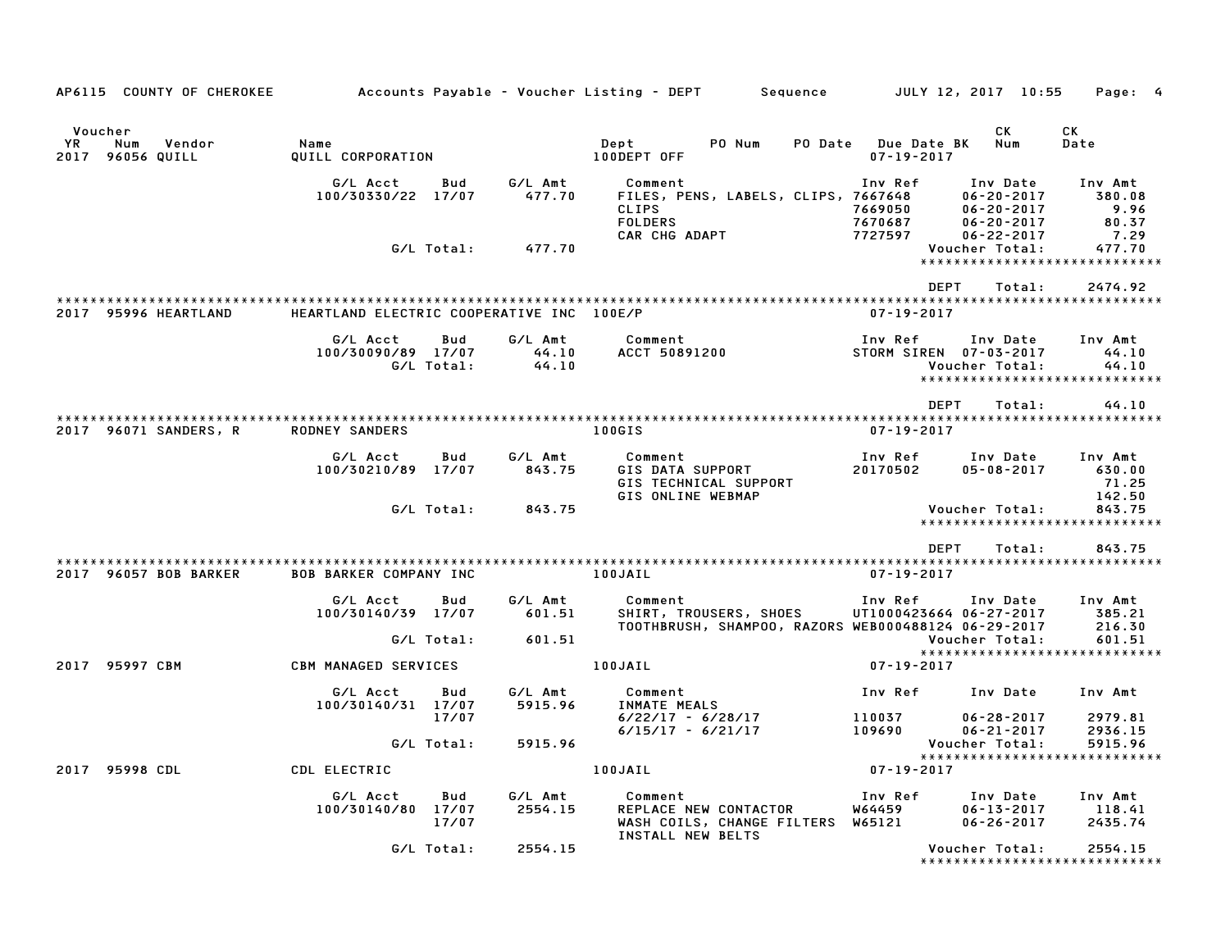| AP6115 COUNTY OF CHEROKEE                              |                                           |                   |                           | Accounts Payable – Voucher Listing – DEPT         Sequence         JULY 12, 2017  10:55  |                                                |                                                                      | Page: 4                                                    |
|--------------------------------------------------------|-------------------------------------------|-------------------|---------------------------|------------------------------------------------------------------------------------------|------------------------------------------------|----------------------------------------------------------------------|------------------------------------------------------------|
| Voucher<br>YR.<br>Num<br>Vendor<br>2017<br>96056 QUILL | Name<br>QUILL CORPORATION                 |                   |                           | PO Num<br>Dept<br>100DEPT OFF                                                            | <b>PO Date</b> Due Date BK<br>$07 - 19 - 2017$ | CK<br>Num                                                            | СK<br>Date                                                 |
|                                                        | G/L Acct<br>100/30330/22 17/07            | Bud               | G/L Amt<br>477.70         | Comment<br>FILES, PENS, LABELS, CLIPS, 7667648<br><b>CLIPS</b><br><b>FOLDERS</b>         | Inv Ref<br>7669050<br>7670687                  | Inv Date<br>$06 - 20 - 2017$<br>$06 - 20 - 2017$<br>$06 - 20 - 2017$ | Inv Amt<br>380.08<br>9.96<br>80.37                         |
|                                                        |                                           | G/L Total:        | 477.70                    | CAR CHG ADAPT                                                                            | 7727597                                        | $06 - 22 - 2017$<br>Voucher Total:                                   | 7.29<br>477.70<br>*****************************            |
|                                                        |                                           |                   |                           |                                                                                          | <b>DEPT</b>                                    | Total:                                                               | 2474.92                                                    |
| 2017 95996 HEARTLAND                                   | HEARTLAND ELECTRIC COOPERATIVE INC 100E/P |                   |                           |                                                                                          | $07 - 19 - 2017$                               |                                                                      |                                                            |
|                                                        | G/L Acct<br>100/30090/89 17/07            | Bud<br>G/L Total: | G/L Amt<br>44.10<br>44.10 | Comment<br>ACCT 50891200                                                                 | Inv Ref<br>STORM SIREN 07-03-2017              | Inv Date<br>Voucher Total:                                           | Inv Amt<br>44.10<br>44.10<br>***************************** |
|                                                        |                                           |                   |                           |                                                                                          | <b>DEPT</b>                                    | Total:                                                               | 44.10                                                      |
| 2017 96071 SANDERS, R                                  | <b>RODNEY SANDERS</b>                     |                   |                           | 100GIS                                                                                   | $07 - 19 - 2017$                               |                                                                      |                                                            |
|                                                        | G/L Acct<br>100/30210/89 17/07            | Bud               | G/L Amt<br>843.75         | Comment<br>GIS DATA SUPPORT<br>GIS TECHNICAL SUPPORT<br>GIS ONLINE WEBMAP                | Inv Ref<br>20170502                            | Inv Date<br>$05 - 08 - 2017$                                         | Inv Amt<br>630.00<br>71.25<br>142.50                       |
|                                                        |                                           | G/L Total:        | 843.75                    |                                                                                          |                                                | Voucher Total:                                                       | 843.75<br>*****************************                    |
|                                                        |                                           |                   |                           |                                                                                          | <b>DEPT</b>                                    | Total:                                                               | 843.75                                                     |
| 2017 96057 BOB BARKER                                  | <b>BOB BARKER COMPANY INC</b>             |                   |                           | 100JAIL                                                                                  | $07 - 19 - 2017$                               |                                                                      |                                                            |
|                                                        | G/L Acct<br>100/30140/39 17/07            | Bud               | G/L Amt<br>601.51         | Comment<br>SHIRT, TROUSERS, SHOES<br>TOOTHBRUSH, SHAMPOO, RAZORS WEB000488124 06-29-2017 | Inv Ref<br>UT1000423664 06-27-2017             | Inv Date                                                             | Inv Amt<br>385.21<br>216.30                                |
|                                                        |                                           | G/L Total:        | 601.51                    |                                                                                          |                                                | Voucher Total:                                                       | 601.51                                                     |
| 2017 95997 CBM                                         | <b>CBM MANAGED SERVICES</b>               |                   |                           | 100JAIL                                                                                  | $07 - 19 - 2017$                               |                                                                      | *****************************                              |
|                                                        | G/L Acct<br>100/30140/31 17/07            | Bud               | G/L Amt<br>5915.96        | Comment<br>INMATE MEALS                                                                  | Inv Ref                                        | Inv Date                                                             | Inv Amt                                                    |
|                                                        |                                           | 17/07             |                           | 6/22/17 - 6/28/17                                                                        | 110037                                         | $06 - 28 - 2017$                                                     | 2979.81                                                    |
|                                                        |                                           | G/L Total:        | 5915.96                   | $6/15/17 - 6/21/17$                                                                      | 109690                                         | $06 - 21 - 2017$<br>Voucher Total:                                   | 2936.15<br>5915.96                                         |
|                                                        |                                           |                   |                           |                                                                                          |                                                |                                                                      | *****************************                              |
| 2017 95998 CDL                                         | CDL ELECTRIC                              |                   |                           | 100JAIL                                                                                  | $07 - 19 - 2017$                               |                                                                      |                                                            |
|                                                        | G/L Acct                                  | Bud               | G/L Amt                   | Comment                                                                                  | Inv Ref                                        | Inv Date                                                             | Inv Amt                                                    |
|                                                        | 100/30140/80 17/07                        | 17/07             | 2554.15                   | REPLACE NEW CONTACTOR<br>WASH COILS, CHANGE FILTERS W65121<br>INSTALL NEW BELTS          | <b>W64459</b>                                  | $06 - 13 - 2017$<br>$06 - 26 - 2017$                                 | 118.41<br>2435.74                                          |
|                                                        |                                           | G/L Total:        | 2554.15                   |                                                                                          |                                                | Voucher Total:                                                       | 2554.15<br>******************************                  |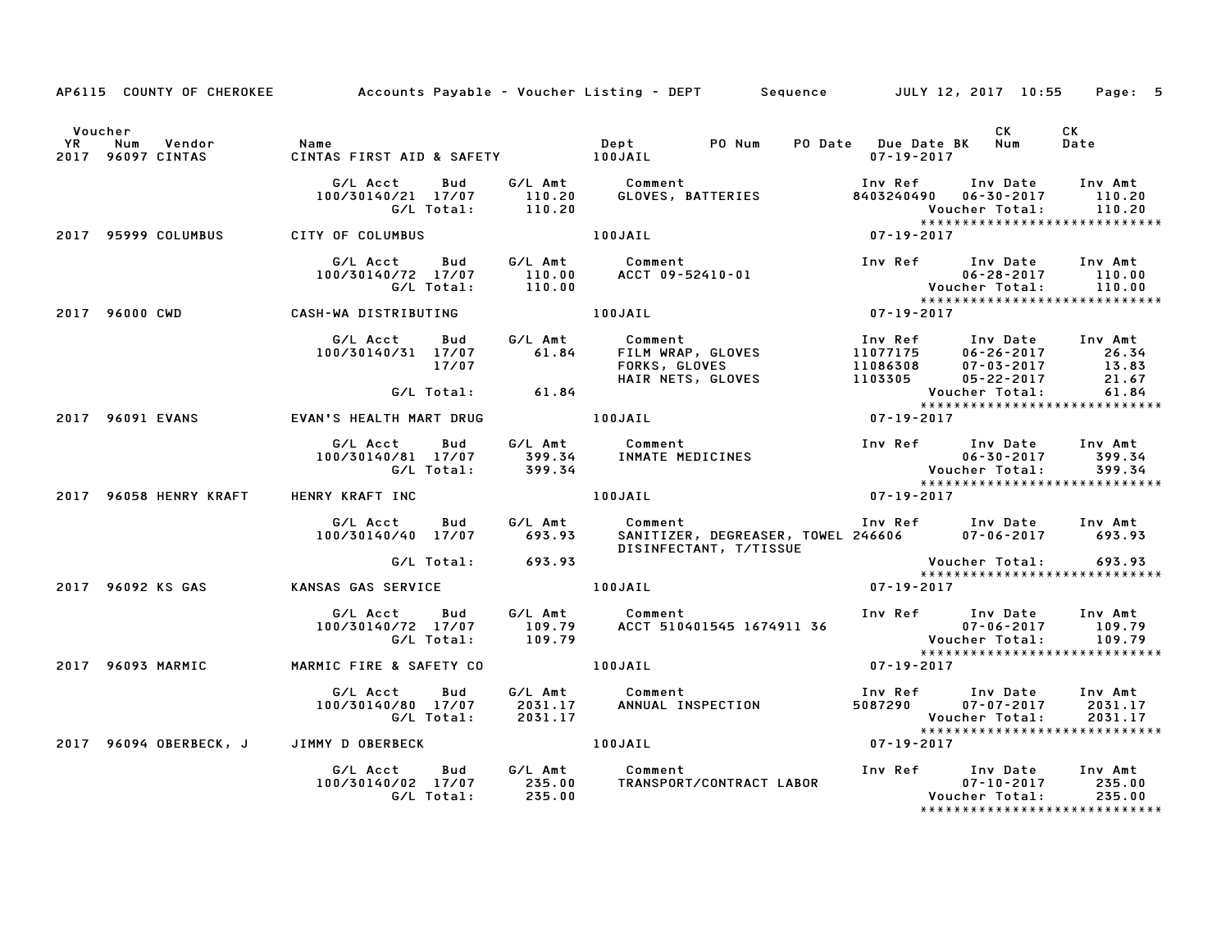|         |                                                   |                   | AP6115 COUNTY OF CHEROKEE Accounts Payable - Voucher Listing - DEPT Sequence JULY 12, 2017 10:55 Page: 5                                                                                                                                |                          |           |                                                           |
|---------|---------------------------------------------------|-------------------|-----------------------------------------------------------------------------------------------------------------------------------------------------------------------------------------------------------------------------------------|--------------------------|-----------|-----------------------------------------------------------|
| Voucher |                                                   |                   |                                                                                                                                                                                                                                         |                          | <b>CK</b> | CK<br>Date                                                |
|         |                                                   |                   | G/L Acct Bud G/L Amt Comment Inv Ref Inv Date Inv Amt<br>100/30140/21 17/07 110.20 GLOVES, BATTERIES 8403240490 06–30–2017 110.20<br>G/L Total: 110.20 (G/L Total: 110.20<br>100JAIL 100JAIL 107-19-2017                                |                          |           |                                                           |
|         | 2017 95999 COLUMBUS CITY OF COLUMBUS              |                   |                                                                                                                                                                                                                                         |                          |           |                                                           |
|         |                                                   |                   | 6/L Acct Bud G/L Amt Comment Inv Ref Inv Date Inv Amt<br>100/30140/72 17/07 110.00 ACCT 09-52410-01 10 00-28-2017 110.00<br>G/L Total: 110.00 100JAIL 100JAIL 107-19-2017                                                               |                          |           |                                                           |
|         | 2017 96000 CWD CASH-WA DISTRIBUTING 100JAIL       |                   |                                                                                                                                                                                                                                         |                          |           |                                                           |
|         |                                                   |                   | 6/L Acct Bud G/L Amt Comment Inv Ref Inv Date Inv Amt<br>100/30140/31 17/07 61.84 FILM WRAP, GLOVES 11077175 06-26-2017 26.34<br>17/07 FORKS, GLOVES 11086308 07-03-2017 13.83<br>6/L Total: 61.84 HAIR NETS, GLOVES 1103305 05-22-2    |                          |           |                                                           |
|         |                                                   |                   |                                                                                                                                                                                                                                         |                          |           |                                                           |
|         |                                                   |                   | 2017 96091 EVANS EVAN'S HEALTH MART DRUG 100JAIL 100JAIL 100JAIL 07-19-2017                                                                                                                                                             |                          |           |                                                           |
|         |                                                   |                   | G/L Acct Bud G/L Amt Comment Inv Ref Inv Date Inv Amt<br>100/30140/81 17/07 399.34 INMATE MEDICINES 100-30-30-2017 399.34<br>G/L Total: 399.34 Sucher Total: 399.34<br>Final: 399.34                                                    |                          |           |                                                           |
|         |                                                   |                   | 2017 96058 HENRY KRAFT HENRY KRAFT INC NEW YOUR LOOJAIL NEW 100 YOUR 2017                                                                                                                                                               |                          |           |                                                           |
|         |                                                   |                   | G/L Acct Bud G/L Amt Comment<br>100/30140/40 17/07 693.93 SANITIZER, DEGREASER, TOWEL 246606 07-06-2017 693.93                                                                                                                          | Inv Ref Inv Date Inv Amt |           |                                                           |
|         |                                                   | G/L Total: 693.93 | SANIIIZER, PLONENCER,<br>DISINFECTANT, T/TISSUE                                                                                                                                                                                         |                          |           | Voucher Total: 693.93<br>****************************     |
|         | 2017 96092 KS GAS KANSAS GAS SERVICE 100JAIL      |                   |                                                                                                                                                                                                                                         | $07 - 19 - 2017$         |           |                                                           |
|         |                                                   |                   | G/L Acct Bud G/L Amt Comment Inv Ref Inv Date Inv Amt<br>100/30140/72 17/07 109.79 ACCT 510401545 1674911 36 07–06–2017 109.79<br>G/L Total: 109.79 ACCT 510401545 1674911 36 Voucher Total: 109.79<br>******************************** |                          |           |                                                           |
|         | 2017 96093 MARMIC MARMIC FIRE & SAFETY CO 100JAIL |                   |                                                                                                                                                                                                                                         | $07 - 19 - 2017$         |           |                                                           |
|         |                                                   |                   |                                                                                                                                                                                                                                         |                          |           | Voucher Total: 2031.17<br>******************************* |
|         | 2017 96094 OBERBECK, J JIMMY D OBERBECK 100JAIL   |                   | $07 - 19 - 2017$                                                                                                                                                                                                                        |                          |           |                                                           |
|         |                                                   |                   |                                                                                                                                                                                                                                         |                          |           | ******************************                            |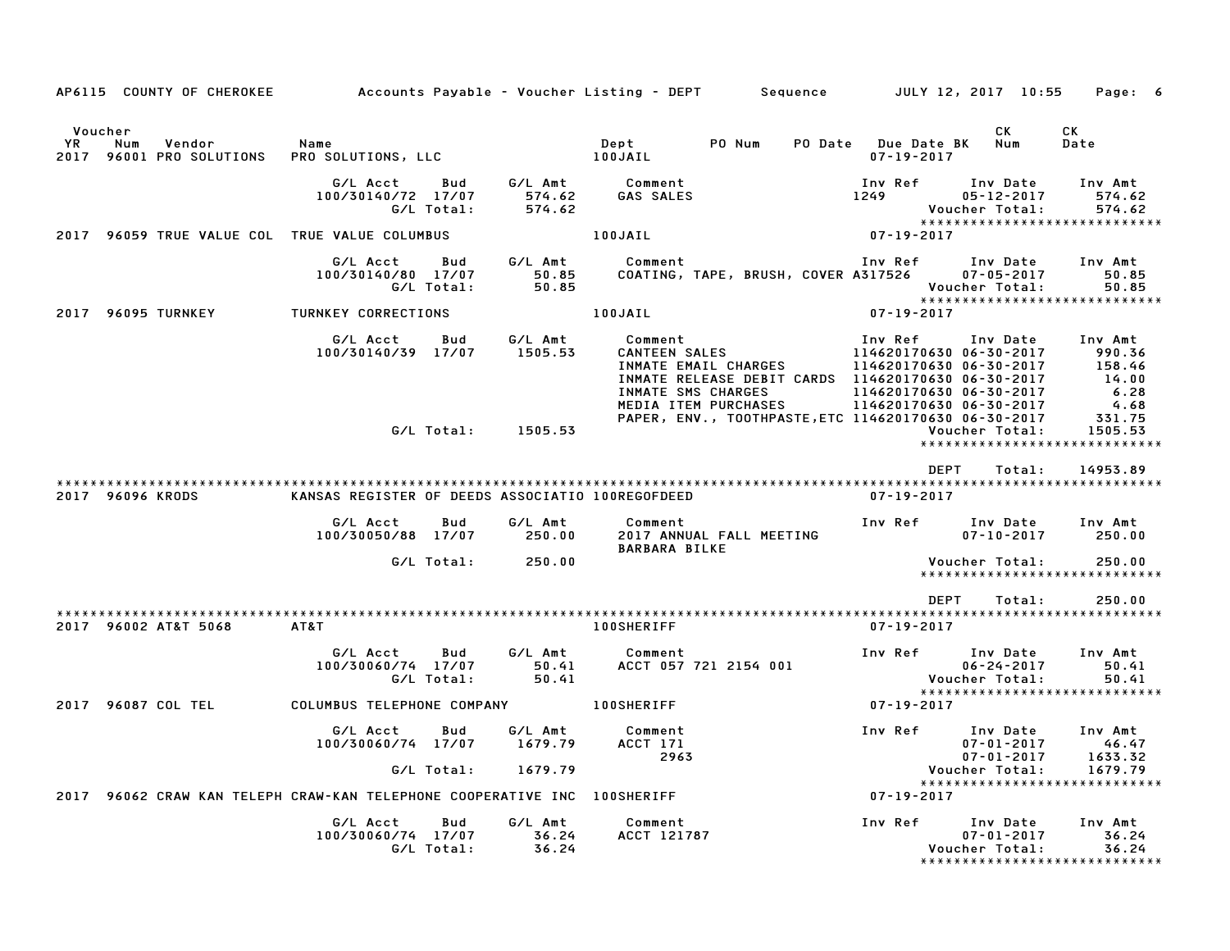| AP6115 COUNTY OF CHEROKEE                                                |                                                     |                               | Accounts Payable – Voucher Listing – DEPT         Sequence         JULY 12, 2017  10:55           |                                                    |                                                                    | Page: 6                                                                 |
|--------------------------------------------------------------------------|-----------------------------------------------------|-------------------------------|---------------------------------------------------------------------------------------------------|----------------------------------------------------|--------------------------------------------------------------------|-------------------------------------------------------------------------|
| Voucher                                                                  |                                                     |                               |                                                                                                   |                                                    | СK                                                                 | CK                                                                      |
| YR.<br>Num<br>Vendor<br>96001 PRO SOLUTIONS<br>2017                      | Name<br>PRO SOLUTIONS, LLC                          |                               | PO Num<br>Dept<br>100JAIL                                                                         | PO Date Due Date BK<br>$07 - 19 - 2017$            | Num                                                                | Date                                                                    |
|                                                                          | G/L Acct<br>Bud<br>100/30140/72 17/07<br>G/L Total: | 574.62<br>574.62              | G/L Amt Comment<br>GAS SALES                                                                      | Inv Ref<br>1249                                    | Inv Date<br>05-12-2017<br>Voucher Total:                           | Inv Amt<br>574.62<br>574.62<br>*****************************            |
| 2017 96059 TRUE VALUE COL TRUE VALUE COLUMBUS                            |                                                     |                               | 100JAIL                                                                                           | $07 - 19 - 2017$                                   |                                                                    |                                                                         |
|                                                                          | G/L Acct<br>Bud<br>100/30140/80 17/07<br>G/L Total: | G/L Amt<br>50.85<br>50.85     | Comment<br>COATING, TAPE, BRUSH, COVER A317526                                                    | Inv Ref      Inv Date     Inv Amt                  | $07 - 05 - 2017$<br>Voucher Total:                                 | 50.85<br>50.85<br>*****************************                         |
| 2017 96095 TURNKEY                                                       | <b>TURNKEY CORRECTIONS</b>                          |                               | 100JAIL                                                                                           | $07 - 19 - 2017$                                   |                                                                    |                                                                         |
|                                                                          | G/L Acct<br>Bud<br>100/30140/39 17/07 1505.53       | G/L Amt                       | INMATE RELEASE DEBIT CARDS  114620170630 06-30-2017<br>INMATE SMS CHARGES<br>MEDIA ITEM PURCHASES | 114620170630 06-30-2017<br>114620170630 06-30-2017 |                                                                    | $158.46$<br>$14.00$<br>6.28<br>4.68                                     |
|                                                                          | G/L Total: 1505.53                                  |                               | PAPER, ENV., TOOTHPASTE, ETC 114620170630 06-30-2017                                              |                                                    | Voucher Total:                                                     | 331.75<br>1505.53<br>*****************************                      |
| 2017 96096 KRODS                                                         | KANSAS REGISTER OF DEEDS ASSOCIATIO 100REGOFDEED    |                               |                                                                                                   | <b>DEPT</b><br>07-19-2017                          | Total:                                                             | 14953.89                                                                |
|                                                                          | G/L Acct<br>Bud<br>100/30050/88 17/07 250.00        | G/L Amt                       | Comment<br>2017 ANNUAL FALL MEETING<br><b>BARBARA BILKE</b>                                       | Inv Ref                                            | <b>Inv Date</b><br>$07 - 10 - 2017$                                | Inv Amt<br>250.00                                                       |
|                                                                          | G/L Total:                                          | 250.00                        |                                                                                                   |                                                    | Voucher Total:                                                     | 250.00<br>*****************************                                 |
| 2017 96002 AT&T 5068                                                     | AT&T                                                |                               | <b>100SHERIFF</b>                                                                                 | DEPT<br>07-19-2017                                 | Total:                                                             | 250.00                                                                  |
|                                                                          | G/L Acct<br>Bud<br>100/30060/74 17/07<br>G/L Total: | G/L Amt<br>50.41<br>50.41     | Comment<br>ACCT 057 721 2154 001                                                                  | Inv Ref      Inv Date                              | $06 - 24 - 2017$<br>Voucher Total:                                 | Inv Amt<br>50.41<br>50.41                                               |
| 2017 96087 COL TEL                                                       | COLUMBUS TELEPHONE COMPANY 100SHERIFF               |                               |                                                                                                   | $07 - 19 - 2017$                                   |                                                                    | *****************************                                           |
|                                                                          | G/L Acct<br>Bud<br>100/30060/74 17/07<br>G/L Total: | G/L Amt<br>1679.79<br>1679.79 | Comment<br>ACCT 171<br>2963                                                                       | Inv Ref                                            | Inv Date<br>$07 - 01 - 2017$<br>$07 - 01 - 2017$<br>Voucher Total: | Inv Amt<br>46.47<br>1633.32<br>1679.79<br>***************************** |
| 2017 96062 CRAW KAN TELEPH CRAW-KAN TELEPHONE COOPERATIVE INC 100SHERIFF |                                                     |                               |                                                                                                   | $07 - 19 - 2017$                                   |                                                                    |                                                                         |
|                                                                          | G/L Acct<br>Bud<br>100/30060/74 17/07<br>G/L Total: | G/L Amt<br>36.24<br>36.24     | Comment<br>ACCT 121787                                                                            | Inv Ref                                            | Inv Date<br>$07 - 01 - 2017$<br>Voucher Total:                     | Inv Amt<br>36.24<br>36.24<br>*******************************            |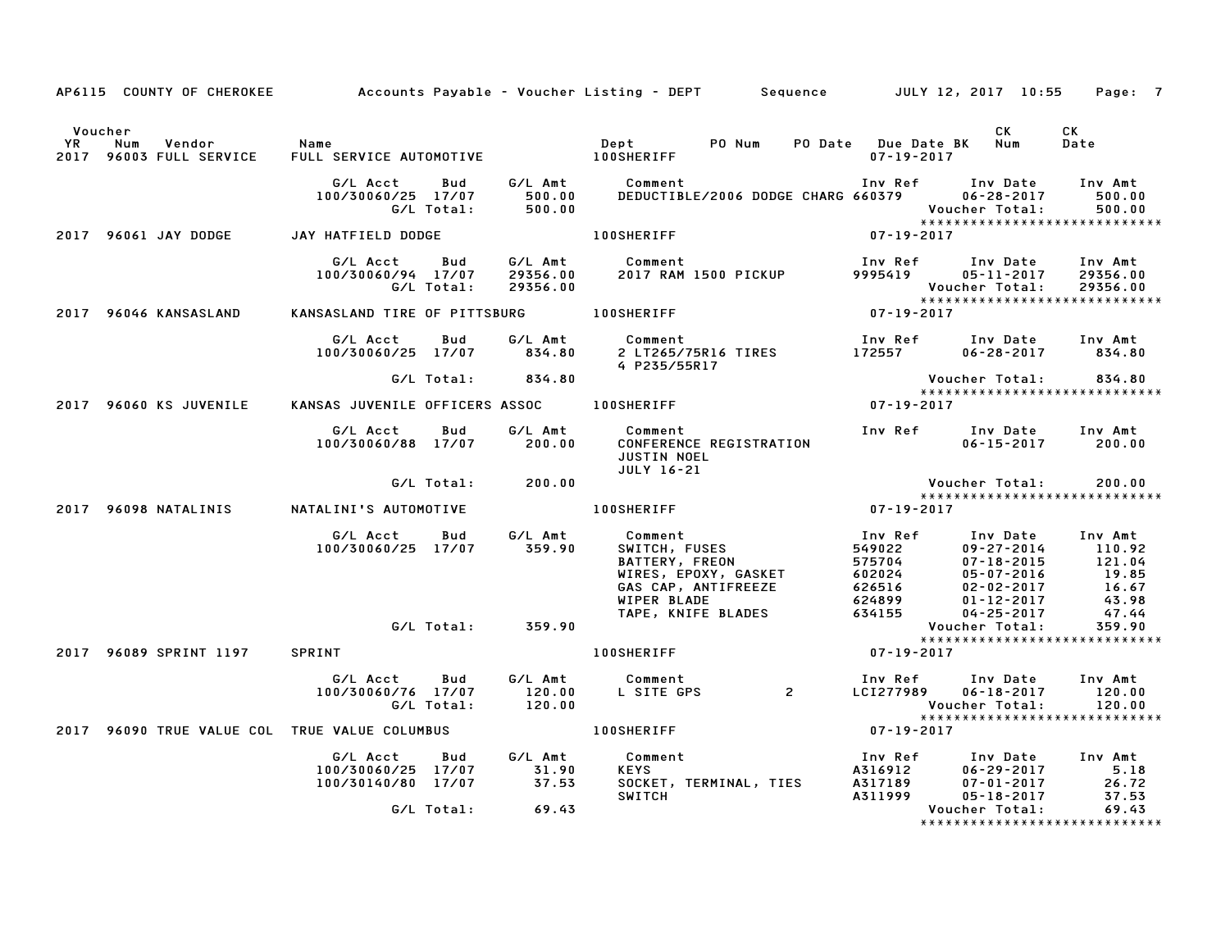|                      |                                               |                                                      |                   |                                 | AP6115 COUNTY OF CHEROKEE Accounts Payable – Voucher Listing – DEPT Sequence JULY 12, 2017 10:55                                     |                                                                     |                                                                                            | Page: 7                                                |
|----------------------|-----------------------------------------------|------------------------------------------------------|-------------------|---------------------------------|--------------------------------------------------------------------------------------------------------------------------------------|---------------------------------------------------------------------|--------------------------------------------------------------------------------------------|--------------------------------------------------------|
| Voucher<br><b>YR</b> | Vendor<br>Num<br>2017 96003 FULL SERVICE      | Name<br>FULL SERVICE AUTOMOTIVE 100SHERIFF           |                   |                                 | PO Num<br>Dept                                                                                                                       | PO Date Due Date BK Num<br>$07 - 19 - 2017$                         | CK                                                                                         | CK<br>Date                                             |
|                      |                                               | G/L Acct<br>100/30060/25 17/07                       | Bud<br>G/L Total: | 500.00<br>500.00                | G/L Amt Comment<br>DEDUCTIBLE/2006 DODGE CHARG 660379                                                                                |                                                                     | Inv Ref Inv Date<br>$06 - 28 - 2017$<br>Voucher Total:                                     | Inv Amt<br>500.00<br>500.00                            |
|                      | 2017 96061 JAY DODGE                          | JAY HATFIELD DODGE                                   |                   |                                 | <b>100SHERIFF</b>                                                                                                                    | $07 - 19 - 2017$                                                    |                                                                                            |                                                        |
|                      |                                               | G/L Acct<br>100/30060/94 17/07                       | Bud<br>G/L Total: | G/L Amt<br>29356.00<br>29356.00 | Comment<br>2017 RAM 1500 PICKUP                                                                                                      | Inv Ref<br>9995419                                                  | Inv Date<br>$05 - 11 - 2017$<br>Voucher Total:                                             | Inv Amt<br>29356.00<br>29356.00                        |
|                      | 2017 96046 KANSASLAND                         | KANSASLAND TIRE OF PITTSBURG 100SHERIFF              |                   |                                 |                                                                                                                                      | $07 - 19 - 2017$                                                    | *****************************                                                              |                                                        |
|                      |                                               | G/L Acct<br>100/30060/25 17/07                       | Bud               | G/L Amt<br>834.80               | Comment<br>2 LT265/75R16 TIRES<br>4 P235/55R17                                                                                       | Inv Ref<br>172557                                                   | Inv Date<br>$06 - 28 - 2017$ 834.80                                                        | Inv Amt                                                |
|                      |                                               |                                                      |                   | G/L Total: 834.80               |                                                                                                                                      |                                                                     | Voucher Total:<br>*****************************                                            | 834.80                                                 |
|                      | <b>2017 96060 KS JUVENILE</b>                 | KANSAS JUVENILE OFFICERS ASSOC 100SHERIFF            |                   |                                 |                                                                                                                                      | $07 - 19 - 2017$                                                    |                                                                                            |                                                        |
|                      |                                               | G/L Acct<br>100/30060/88 17/07                       | Bud               | G/L Amt<br>200.00               | Comment<br>CONFERENCE REGISTRATION<br><b>JUSTIN NOEL</b><br>JULY 16-21                                                               | Inv Ref                                                             | Inv Date<br>$06 - 15 - 2017$                                                               | Inv Amt<br>200.00                                      |
|                      |                                               |                                                      | G/L Total:        | 200.00                          |                                                                                                                                      |                                                                     | Voucher Total:                                                                             | 200.00                                                 |
|                      | 2017 96098 NATALINIS                          | NATALINI'S AUTOMOTIVE                                |                   |                                 | <b>100SHERIFF</b>                                                                                                                    | $07 - 19 - 2017$                                                    | ******************************                                                             |                                                        |
|                      |                                               | G/L Acct<br>100/30060/25 17/07                       | <b>Bud</b>        | G/L Amt<br>359.90               | Comment<br>SWITCH, FUSES<br>Comment<br>SWITCH, FUSES<br>BATTERY, FREON<br>WIRES, EPOXY, GASKET<br>GAS CAP, ANTIFREEZE<br>WIPER BLADE | Inv Ref<br>549022<br>575704<br>575704<br>602024<br>626516<br>624899 | Inv Date<br>09-27-2014<br>$07 - 18 - 2015$<br>05-07-2016<br>$02 - 02 - 2017$<br>01-12-2017 | Inv Amt<br>110.92<br>121.04<br>19.85<br>16.67<br>43.98 |
|                      |                                               |                                                      |                   |                                 | TAPE, KNIFE BLADES                                                                                                                   | 634155                                                              | $04 - 25 - 2017$<br>Voucher Total:                                                         | 47.44<br>359.90                                        |
|                      | 2017 96089 SPRINT 1197 SPRINT                 |                                                      |                   |                                 | <b>100SHERIFF</b>                                                                                                                    | 07-19-2017                                                          | *****************************                                                              |                                                        |
|                      |                                               | G/L Acct<br>100/30060/76 17/07                       | Bud<br>G/L Total: | G/L Amt<br>120.00<br>120.00     | Comment<br>Comment<br>L SITE GPS 2                                                                                                   | Inv Ref<br>LCI277989                                                | Inv Date<br>$06 - 18 - 2017$<br>Voucher Total:                                             | Inv Amt<br>120.00<br>120.00                            |
|                      | 2017 96090 TRUE VALUE COL TRUE VALUE COLUMBUS |                                                      |                   |                                 | <b>100SHERIFF</b>                                                                                                                    | $07 - 19 - 2017$                                                    | *****************************                                                              |                                                        |
|                      |                                               | G/L Acct<br>100/30060/25 17/07<br>100/30140/80 17/07 | Bud               | G/L Amt<br>31.90<br>37.53       | Comment<br><b>KEYS</b><br>SOCKET, TERMINAL, TIES A317189<br><b>SWITCH</b>                                                            | Inv Ref<br>A316912<br>A317189<br>A311999                            | Inv Date<br>06-29-2017<br>$07 - 01 - 2017$<br>$05 - 18 - 2017$                             | Inv Amt<br>5.18<br>26.72<br>26.72<br>37.53             |
|                      |                                               |                                                      | G/L Total:        | 69.43                           |                                                                                                                                      |                                                                     | Voucher Total:<br>*****************************                                            | 69.43                                                  |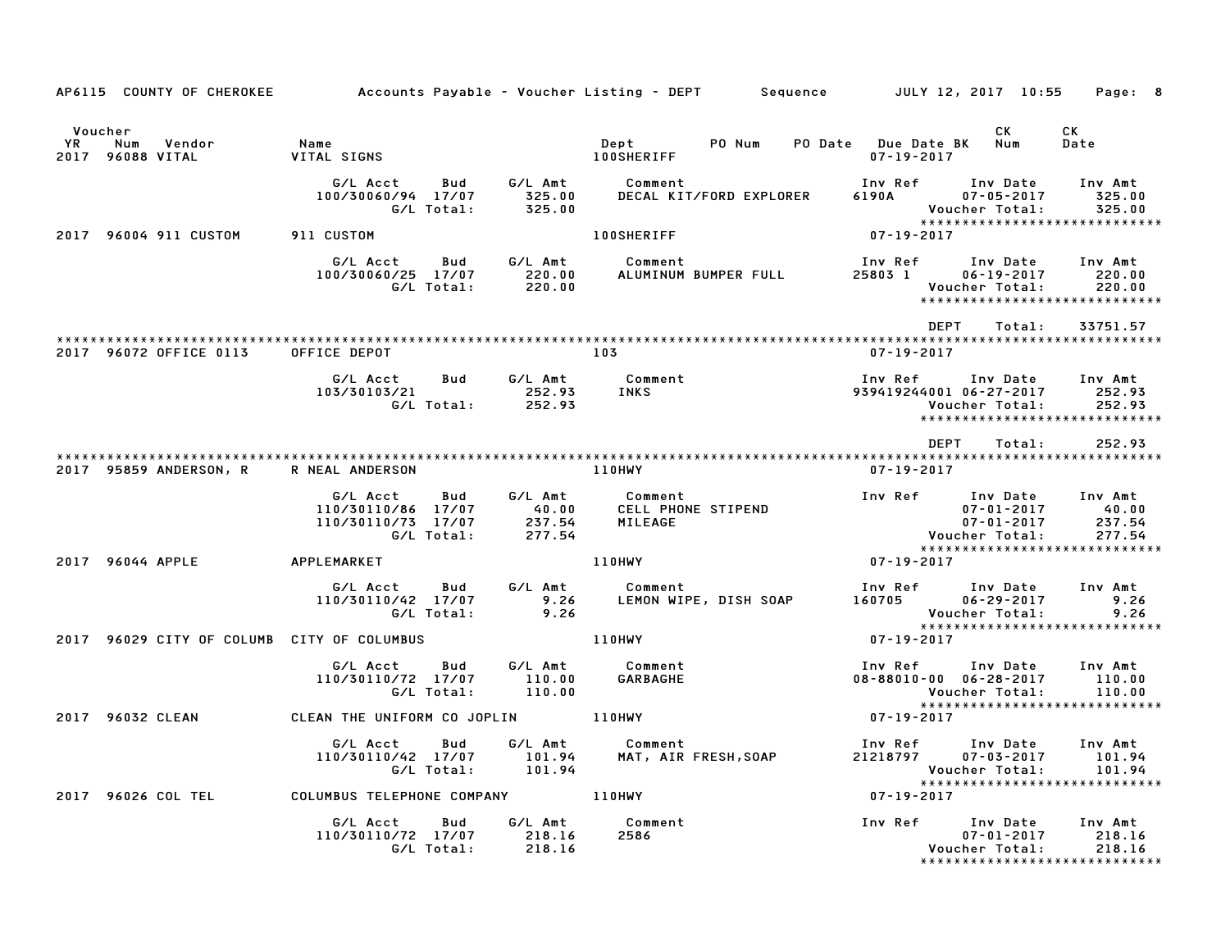| AP6115 COUNTY OF CHEROKEE                              |                                                                           |                                      | Accounts Payable – Voucher Listing – DEPT               Sequence           JULY 12, 2017  10:55     Page:   8 |                                                                               |                                                                                                                |
|--------------------------------------------------------|---------------------------------------------------------------------------|--------------------------------------|---------------------------------------------------------------------------------------------------------------|-------------------------------------------------------------------------------|----------------------------------------------------------------------------------------------------------------|
| Voucher<br>Num<br>YR.<br>Vendor<br>2017<br>96088 VITAL | Name<br>VITAL SIGNS                                                       |                                      | Dept<br>PO Num<br><b>100SHERIFF</b>                                                                           | PO Date Due Date BK Num<br>$07 - 19 - 2017$                                   | CK<br>CK.<br>Date                                                                                              |
|                                                        | G/L Acct<br>Bud<br>100/30060/94 17/07<br>G/L Total:                       | G/L Amt<br>325.00<br>325.00          | Comment<br>DECAL KIT/FORD EXPLORER                                                                            | Inv Ref<br>6190A 07-05-2017                                                   | Inv Date<br>Inv Amt<br>325.00<br>Voucher Total:<br>325.00<br>*****************************                     |
| 2017 96004 911 CUSTOM                                  | 911 CUSTOM                                                                |                                      | <b>100SHERIFF</b>                                                                                             | 07-19-2017                                                                    |                                                                                                                |
|                                                        | G/L Acct<br>Bud<br>100/30060/25 17/07<br>G/L Total:                       | G/L Amt<br>220.00<br>220.00          | Comment<br>ALUMINUM BUMPER FULL                                                                               | Inv Ref      Inv Date<br>25803 1 06-19-2017                                   | Inv Amt<br>220.00<br>Voucher Total:<br>220.00<br>******************************                                |
|                                                        |                                                                           |                                      |                                                                                                               | <b>DEPT</b>                                                                   | Total:<br>33751.57                                                                                             |
| 2017 96072 OFFICE 0113                                 | OFFICE DEPOT                                                              |                                      | 103                                                                                                           | $07 - 19 - 2017$                                                              |                                                                                                                |
|                                                        | G/L Acct<br>Bud<br>103/30103/21<br>G/L Total:                             | G/L Amt<br>252.93<br>252.93          | Comment<br><b>INKS</b>                                                                                        | Inv Ref<br>939419244001 06-27-2017                                            | Inv Date<br>Inv Amt<br>252.93<br>252.93<br>Voucher Total:<br>*****************************                     |
|                                                        |                                                                           |                                      |                                                                                                               | DEPT                                                                          | 252.93<br>Total:                                                                                               |
| 2017 95859 ANDERSON, R R NEAL ANDERSON                 |                                                                           |                                      | <b>110HWY</b>                                                                                                 | $07 - 19 - 2017$                                                              |                                                                                                                |
|                                                        | G/L Acct<br>Bud<br>110/30110/86 17/07<br>110/30110/73 17/07<br>G/L Total: | G/L Amt<br>40.00<br>237.54<br>277.54 | Comment<br>CELL PHONE STIPEND<br>MILEAGE                                                                      | Inv Ref Inv Date<br>Voucher Total:                                            | Inv Amt<br>07-01-2017<br>40.00<br>$07 - 01 - 2017$<br>237.54<br>277.54                                         |
| 2017 96044 APPLE                                       | APPLEMARKET                                                               |                                      | 110HWY                                                                                                        | $07 - 19 - 2017$                                                              | *****************************                                                                                  |
|                                                        | G/L Acct<br>Bud<br>110/30110/42 17/07<br>G/L Total:                       | G/L Amt<br>9.26<br>9.26              | Comment<br>LEMON WIPE, DISH SOAP                                                                              | Inv Ref Inv Date<br>160705 06-29-2017                                         | Inv Amt<br>9.26<br>Voucher Total:<br>9.26                                                                      |
| 2017 96029 CITY OF COLUMB CITY OF COLUMBUS             |                                                                           |                                      | <b>110HWY</b>                                                                                                 | $07 - 19 - 2017$                                                              | *****************************                                                                                  |
|                                                        | G/L Acct<br>Bud<br>110/30110/72 17/07<br>G/L Total:                       | G/L Amt<br>110.00<br>110.00          | Comment<br>GARBAGHE                                                                                           | Inv Ref      Inv Date<br>$08 - 88010 - 00$ $06 - 28 - 2017$<br>Voucher Total: | Inv Amt<br>110.00<br>110.00                                                                                    |
| 2017 96032 CLEAN                                       | CLEAN THE UNIFORM CO JOPLIN                                               |                                      | 110HWY                                                                                                        | $07 - 19 - 2017$                                                              | *****************************                                                                                  |
|                                                        | G/L Acct<br>Bud<br>110/30110/42 17/07<br>G/L Total:                       | G/L Amt<br>101.94<br>101.94          | Comment<br>MAT, AIR FRESH,SOAP                                                                                | Inv Ref<br>21218797<br>Voucher Total:                                         | Inv Date<br>Inv Amt<br>$07 - 03 - 2017$<br>101.94<br>101.94<br>*****************************                   |
| 2017 96026 COL TEL                                     | COLUMBUS TELEPHONE COMPANY 110HWY                                         |                                      |                                                                                                               | $07 - 19 - 2017$                                                              |                                                                                                                |
|                                                        | G/L Acct<br>Bud<br>110/30110/72 17/07<br>G/L Total:                       | G/L Amt<br>218.16<br>218.16          | Comment<br>2586                                                                                               | Inv Ref                                                                       | Inv Date<br>Inv Amt<br>$07 - 01 - 2017$<br>218.16<br>Voucher Total:<br>218.16<br>***************************** |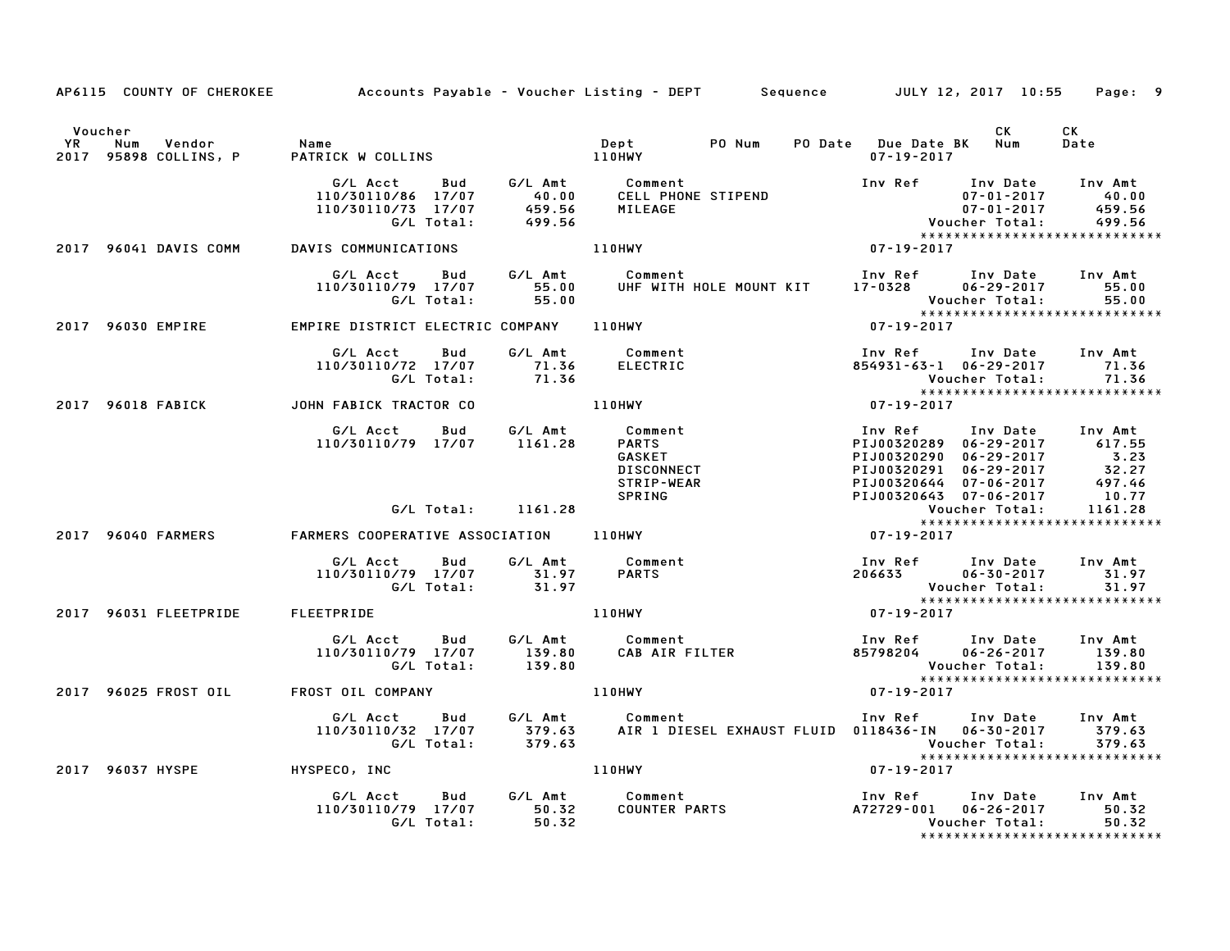|         | AP6115 COUNTY OF CHEROKEE Accounts Payable - Voucher Listing - DEPT Sequence JULY 12, 2017 10:55 Page: 9                                                                                                                                     |                                                                                                                                                                                                                                            |       |                                   |                                                                                                                                                  |                                                       |                       |                                                 |
|---------|----------------------------------------------------------------------------------------------------------------------------------------------------------------------------------------------------------------------------------------------|--------------------------------------------------------------------------------------------------------------------------------------------------------------------------------------------------------------------------------------------|-------|-----------------------------------|--------------------------------------------------------------------------------------------------------------------------------------------------|-------------------------------------------------------|-----------------------|-------------------------------------------------|
| Voucher |                                                                                                                                                                                                                                              |                                                                                                                                                                                                                                            |       |                                   |                                                                                                                                                  |                                                       | CK                    | CK<br>Date                                      |
|         |                                                                                                                                                                                                                                              | G/L Acct Bud G/L Amt Comment<br>110/30110/86 17/07 40.00 CELL PHONE STIPEND 110/30110/73 17/07 459.56 MILEAGE 07-01-2017 499.56<br>G/L Total: 499.56 MILEAGE 07-01-2017 459.56<br>VIS COMMUNICATIONS 110HWY 07-19-2017 499.56<br>VIS COMMU |       |                                   |                                                                                                                                                  |                                                       |                       |                                                 |
|         | 2017 96041 DAVIS COMM DAVIS COMMUNICATIONS 110HWY                                                                                                                                                                                            |                                                                                                                                                                                                                                            |       |                                   |                                                                                                                                                  |                                                       |                       |                                                 |
|         |                                                                                                                                                                                                                                              | G/L Acct  Bud  G/L Amt  Comment<br>110/30110/79  17/07  55.00  UHF  WITH                                                                                                                                                                   |       |                                   | Comment                               Inv Ref      Inv Date     Inv Amt<br>UHF WITH HOLE MOUNT KIT      17-0328       06-29-2017       55.00     |                                                       |                       | 55.00<br>55.00                                  |
|         | 2017 96030 EMPIRE                                                                                                                                                                                                                            | $\begin{array}{cccccccccccc} \text{G/L Total:} & & & & & & & & & & & & & \text{Voucher Total:} \\ \text{EMPIRE DISTRICT ELECTRIC COMPANY} & & & & & & & & & & & & & & & & \text{07-19-2017} \end{array}$                                   |       |                                   |                                                                                                                                                  |                                                       |                       | ******************************                  |
|         |                                                                                                                                                                                                                                              | G/L Acct<br>110/30110/72 17/07 71.36<br>G/L Total: 71.36                                                                                                                                                                                   | Bud   | G/L Amt Comment<br>71.36 ELECTRIC |                                                                                                                                                  | 854931-63-1 06-29-2017 71.36                          | Voucher Total:        | 71.36<br>******************************         |
|         | 2017 96018 FABICK JOHN FABICK TRACTOR CO 2017 96018 FABICK                                                                                                                                                                                   |                                                                                                                                                                                                                                            |       |                                   |                                                                                                                                                  | Vouc<br>* * * * *<br>19-2017 - 07                     |                       |                                                 |
|         | 6/L Acct Bud 6/L Amt Comment<br>110/30110/79 17/07 1161.28<br>CARTS PIJ00320299 06-29-2017 617.55<br>CARTS PIJ00320299 06-29-2017 52.27<br>CARTS DISCONNECT PIJ00320291 06-29-2017 32.27<br>STRIP-WEAR<br>G/L Total: 1161.28<br>CARTS COPERA |                                                                                                                                                                                                                                            |       |                                   |                                                                                                                                                  |                                                       |                       |                                                 |
|         |                                                                                                                                                                                                                                              |                                                                                                                                                                                                                                            |       |                                   |                                                                                                                                                  |                                                       |                       |                                                 |
|         |                                                                                                                                                                                                                                              |                                                                                                                                                                                                                                            |       |                                   |                                                                                                                                                  |                                                       |                       |                                                 |
|         |                                                                                                                                                                                                                                              | G/L Acct bud G/L Amt Comment Inv Ref Inv Date Inv Amt<br>110/30110/79 17/07 31.97 PARTS 206633 06-30-2017 31.97<br>G/L Total: 31.97 110HWY 110HWY 97-19-2017<br>EETPRIDE 110HWY 110HWY 97-19-2017                                          |       |                                   |                                                                                                                                                  |                                                       |                       | 31.97<br>31.97                                  |
|         | 2017 96031 FLEETPRIDE FLEETPRIDE                                                                                                                                                                                                             |                                                                                                                                                                                                                                            |       |                                   |                                                                                                                                                  |                                                       |                       | *****************************                   |
|         |                                                                                                                                                                                                                                              | G/L Acct  Bud  G/L Amt  Comment<br>110/30110/79  17/07  139.80  CAB  AIR F<br>G/L Total:  139.80                                                                                                                                           |       |                                   | Comment<br>CAB AIR FILTER 1nv Ref 1nv Date Inv Amt<br>CAB AIR FILTER 85798204 06-26-2017 139.80<br>Voucher Total: 139.80<br>39.80<br>207-19-2017 |                                                       | 06-26-2017 139.80     | 139.80<br>*****************************         |
|         | 2017 96025 FROST OIL FROST OIL COMPANY THE RESERVE THE RESERVE                                                                                                                                                                               |                                                                                                                                                                                                                                            |       |                                   |                                                                                                                                                  |                                                       |                       |                                                 |
|         |                                                                                                                                                                                                                                              | G/L Acct Bud G/L Amt Comment Inv Ref Inv Date Inv Amt<br>110/30110/32 17/07 379.63 AIR 1 DIESEL EXHAUST FLUID 0118436–IN 06–30–2017 379.63<br>6/L Total: 379.63 AIR 1 DIESEL EXHAUST FLUID 0118436–IN 06–30–2017 579.63                    |       |                                   |                                                                                                                                                  | Voucher Total: 379.63<br>**************************** |                       |                                                 |
|         | 2017 96037 HYSPE HYSPECO, INC 110HWY                                                                                                                                                                                                         |                                                                                                                                                                                                                                            |       |                                   |                                                                                                                                                  | $07 - 19 - 2017$                                      |                       |                                                 |
|         |                                                                                                                                                                                                                                              | G/L Acct Bud G/L Amt Comment<br>110/30110/79 17/07 50.32 COUNTER PARTS<br>G/L Total:                                                                                                                                                       | 50.32 |                                   |                                                                                                                                                  |                                                       | <b>Voucher Total:</b> | 50.32<br>50.32<br>***************************** |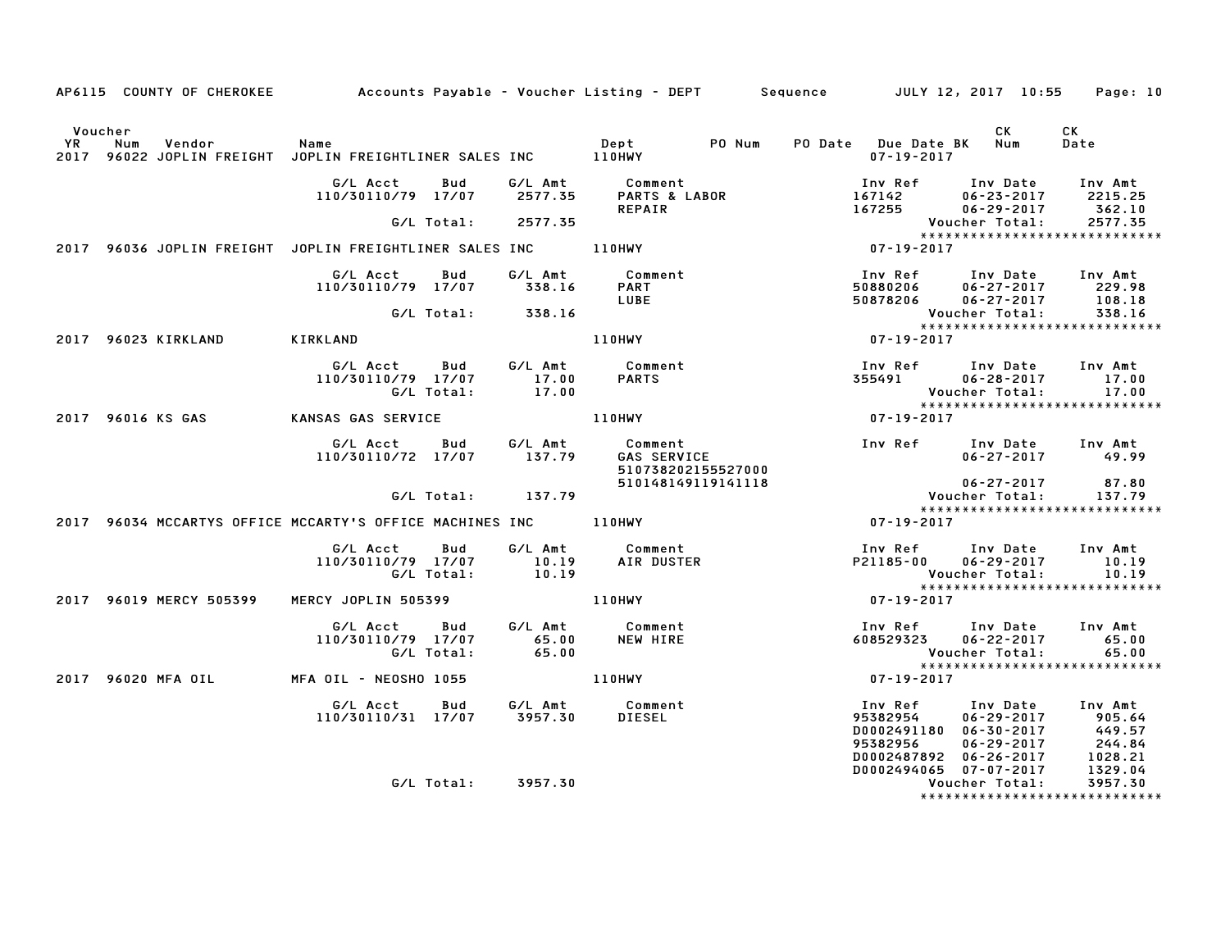|         | AP6115 COUNTY OF CHEROKEE Accounts Payable - Voucher Listing - DEPT Sequence JULY 12, 2017 10:55 Page: 10 |                                                                          |                    |                           |                                        |                    |                         |                  |                                                                                                                                                                                                                                                |                                                            |
|---------|-----------------------------------------------------------------------------------------------------------|--------------------------------------------------------------------------|--------------------|---------------------------|----------------------------------------|--------------------|-------------------------|------------------|------------------------------------------------------------------------------------------------------------------------------------------------------------------------------------------------------------------------------------------------|------------------------------------------------------------|
| Voucher |                                                                                                           |                                                                          |                    |                           |                                        | PO Num             | PO Date Due Date BK Num | $07 - 19 - 2017$ | CK                                                                                                                                                                                                                                             | <b>CK</b><br>Date                                          |
|         |                                                                                                           | G/L Acct Bud G/L Amt Comment<br>110/30110/79 17/07 2577.35 PARTS & LABOR |                    |                           | Comment<br>PARTS & LABOR<br>REPAIR     |                    |                         | 167255           | Inv Ref Inv Date<br>167142 06–23–2017<br>06-29-2017                                                                                                                                                                                            | Inv Amt<br>2215.25<br>362.10                               |
|         |                                                                                                           |                                                                          | G/L Total:         | 2577.35                   |                                        |                    |                         |                  | Voucher Total:                                                                                                                                                                                                                                 | 2577.35<br>*****************************                   |
|         | 2017 96036 JOPLIN FREIGHT JOPLIN FREIGHTLINER SALES INC 110HWY                                            |                                                                          |                    |                           |                                        |                    |                         | $07 - 19 - 2017$ |                                                                                                                                                                                                                                                |                                                            |
|         |                                                                                                           | G/L Acct<br>110/30110/79 17/07                                           | Bud                | 338.16                    | G/L Amt Comment<br><b>PART</b><br>LUBE |                    |                         | 50880206         | Inv Ref Inv Date Inv Amt<br>50880206 06-27-2017 229.98<br>50878206 06-27-2017                                                                                                                                                                  | 108.18<br>338.16                                           |
|         |                                                                                                           |                                                                          | G/L Total:         | 338.16                    |                                        |                    |                         |                  | Voucher Total:                                                                                                                                                                                                                                 | 338.16<br>*****************************                    |
|         | 2017 96023 KIRKLAND                                                                                       | KIRKLAND                                                                 |                    |                           | <b>110HWY</b>                          |                    |                         | $07 - 19 - 2017$ |                                                                                                                                                                                                                                                |                                                            |
|         |                                                                                                           | G/L Acct Bud<br>110/30110/79 17/07                                       | G/L Total:         | 17.00<br>17.00            | G/L Amt Comment<br><b>PARTS</b>        |                    |                         |                  | Inv Ref Inv Date Inv Amt<br>355491 06-28-2017<br>Voucher Total:                                                                                                                                                                                | 17.00<br>17.00                                             |
|         | 2017 96016 KS GAS                                                                                         | KANSAS GAS SERVICE                                                       |                    |                           | 110HWY                                 |                    |                         | $07 - 19 - 2017$ |                                                                                                                                                                                                                                                | *****************************                              |
|         |                                                                                                           | G/L Acct Bud G/L Amt<br>110/30110/72 17/07 137.79                        |                    |                           | Comment<br><b>GAS SERVICE</b>          | 510738202155527000 |                         |                  | Inv Ref Inv Date Inv Amt<br>$06 - 27 - 2017$                                                                                                                                                                                                   | 49.99                                                      |
|         |                                                                                                           |                                                                          |                    | $G/L$ Total: $137.79$     |                                        | 510148149119141118 |                         |                  | 06-27-2017<br>Voucher Total:                                                                                                                                                                                                                   | 87.80<br>137.79                                            |
|         | 2017 96034 MCCARTYS OFFICE MCCARTY'S OFFICE MACHINES INC _______________________                          |                                                                          |                    |                           |                                        |                    |                         | 07-19-2017       |                                                                                                                                                                                                                                                | *****************************                              |
|         |                                                                                                           | G/L Acct<br>110/30110/79 17/07                                           | Bud<br>G/L Total:  | G/L Amt<br>10.19<br>10.19 | Comment<br>AIR DUSTER                  |                    |                         | P21185-00        | Inv Ref Inv Date<br>$06 - 29 - 2017$<br>Voucher Total:                                                                                                                                                                                         | Inv Amt<br>10.19<br>10.19<br>***************************** |
|         | 2017 96019 MERCY 505399                                                                                   | MERCY JOPLIN 505399                                                      |                    |                           | 110HWY                                 |                    |                         | 07-19-2017       |                                                                                                                                                                                                                                                |                                                            |
|         |                                                                                                           | G/L Acct<br>110/30110/79 17/07                                           | Bud<br>G/L Total:  | G/L Amt<br>65.00<br>65.00 | Comment<br>NEW HIRE                    |                    |                         | 608529323        | Inv Ref Inv Date<br>06-22-2017<br>Voucher Total:                                                                                                                                                                                               | Inv Amt<br>65.00<br>65.00<br>***************************** |
|         | 2017 96020 MFA OIL                                                                                        | MFA OIL - NEOSHO 1055                                                    |                    |                           | 110HWY                                 |                    |                         | 07-19-2017       |                                                                                                                                                                                                                                                |                                                            |
|         |                                                                                                           | G/L Acct  Bud  G/L Amt  Comment<br>110/30110/31  17/07  3957.30  DIESEL  |                    |                           |                                        |                    |                         |                  | Inv Ref       Inv Date<br>95382954      06–29–2017<br>95382954<br>06-29-2017<br>905.64<br>06-29-2017<br>905.64<br>06-29-2017<br>905.64<br>06-29-2017<br>244.84<br>00002487892<br>06-26-2017<br>1028.21<br>00002494065<br>07-07-2017<br>1329.04 | Inv Amt                                                    |
|         |                                                                                                           |                                                                          | G/L Total: 3957.30 |                           |                                        |                    |                         |                  | D0002494065 07-07-2017<br>Voucher Total:                                                                                                                                                                                                       | 1329.04<br>3957.30<br>*******************************      |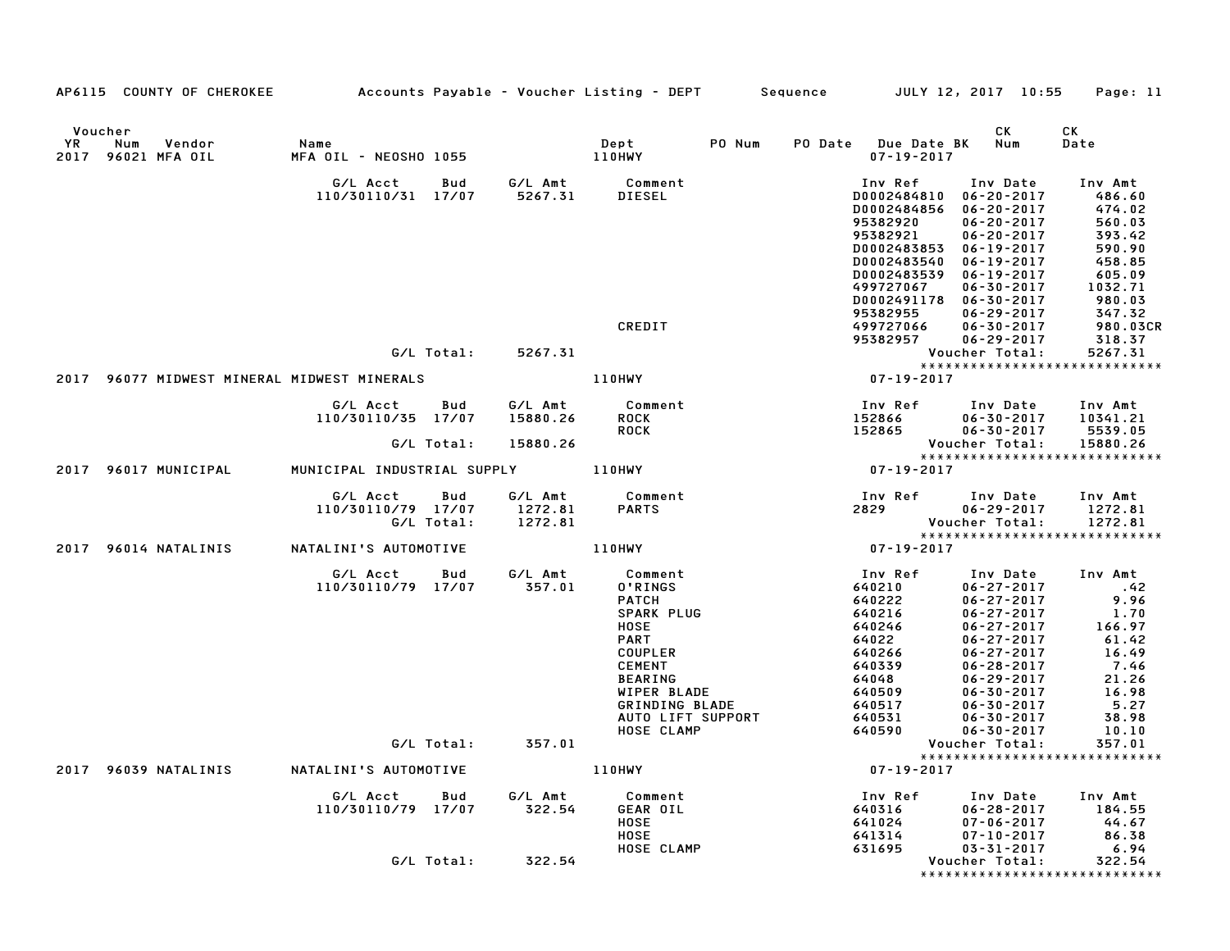| AP6115 COUNTY OF CHEROKEE Accounts Payable - Voucher Listing - DEPT Sequence JULY 12, 2017 10:55 Page: 11 |                                                                        |                    |                                                                                                                                                                                    |                                                                            |                                                                                                                                                                                                                                                                                                                                                   |                                                                                                                                  |
|-----------------------------------------------------------------------------------------------------------|------------------------------------------------------------------------|--------------------|------------------------------------------------------------------------------------------------------------------------------------------------------------------------------------|----------------------------------------------------------------------------|---------------------------------------------------------------------------------------------------------------------------------------------------------------------------------------------------------------------------------------------------------------------------------------------------------------------------------------------------|----------------------------------------------------------------------------------------------------------------------------------|
| Voucher<br>Num<br>YR<br>Vendor<br>2017 96021 MFA OIL                                                      | Name                                                                   |                    | PO Num                                                                                                                                                                             | PO Date Due Date BK Num                                                    | CK<br>$07 - 19 - 2017$                                                                                                                                                                                                                                                                                                                            | CK<br>Date                                                                                                                       |
|                                                                                                           | G/L Acct  Bud  G/L Amt  Comment<br>110/30110/31 17/07  5267.31  DIESEL |                    |                                                                                                                                                                                    | Inv Ref<br>95382921<br>D0002483540<br>D0002483539<br>499727067<br>95382955 | Inv Date Inv Amt<br>1nv Ket من الله عدد 1110–1208<br>186.60 06-20-2017 174.02<br>174.02 06-20-2017 174.02 06-20-2017 560.03<br>$06 - 20 - 2017$<br>D0002483853 06-19-2017<br>06-19-2017<br>06-19-2017<br>$06 - 30 - 2017$<br>D0002491178 06-30-2017<br>$06 - 29 - 2017$                                                                           | $560.03$<br>$393.42$<br>$590.90$<br>$458.85$<br>$605.09$<br>$1032.71$<br>$980.03$<br>$367.32$                                    |
|                                                                                                           |                                                                        |                    | CREDIT                                                                                                                                                                             | 499727066<br>95382957                                                      | $06 - 30 - 2017$<br>06-29-2017                                                                                                                                                                                                                                                                                                                    | 347.32<br>980.03CR<br>318.37<br>5267.31                                                                                          |
|                                                                                                           |                                                                        | G/L Total: 5267.31 |                                                                                                                                                                                    |                                                                            |                                                                                                                                                                                                                                                                                                                                                   |                                                                                                                                  |
| 2017 96077 MIDWEST MINERAL MIDWEST MINERALS                                                               |                                                                        |                    | 110HWY                                                                                                                                                                             | Voucher Total: 5267.31<br>*******************************<br>07-19-2017    |                                                                                                                                                                                                                                                                                                                                                   |                                                                                                                                  |
|                                                                                                           | G/L Acct Bud<br>110/30110/35 17/07                                     |                    | G/L Amt           Comment<br>15880.26       ROCK<br><b>ROCK</b>                                                                                                                    |                                                                            | 1nv Ref       Inv Date     Inv Amt<br>152866         06-30-2017     10341.21<br>152865         06-30-2017      5539.05                                                                                                                                                                                                                            |                                                                                                                                  |
|                                                                                                           | G/L Total:                                                             | 15880.26           |                                                                                                                                                                                    |                                                                            | Voucher Total:<br>*****************************                                                                                                                                                                                                                                                                                                   | 15880.26                                                                                                                         |
| 2017 96017 MUNICIPAL                                                                                      | ove idea: 19880.26<br>MUNICIPAL INDUSTRIAL SUPPLY 110HWY               |                    |                                                                                                                                                                                    | $07 - 19 - 2017$                                                           |                                                                                                                                                                                                                                                                                                                                                   |                                                                                                                                  |
|                                                                                                           | G/L Acct Bud<br>110/30110/79 17/07 1272.81<br>G/L Total: 1272.81       |                    | G/L Amt Comment<br><b>PARTS</b>                                                                                                                                                    | 2829                                                                       | Inv Ref Inv Date Inv Amt<br>$06 - 29 - 2017$                                                                                                                                                                                                                                                                                                      | 1272.81                                                                                                                          |
| 2017 96014 NATALINIS NATALINI'S AUTOMOTIVE                                                                |                                                                        |                    | 110HWY                                                                                                                                                                             |                                                                            |                                                                                                                                                                                                                                                                                                                                                   |                                                                                                                                  |
|                                                                                                           | G/L Acct  Bud  G/L Amt<br>110/30110/79  17/07  357.01                  |                    | Comment<br>0'RINGS<br>PATCH<br>SPARK PLUG<br><b>HOSE</b><br><b>PART</b><br>COUPLER<br>CEMENT<br><b>BEARING</b><br>WIPER BLADE<br>GRINDING BLADE<br>AUTO LIFT SUPPORT<br>HOSE CLAMP | Inv Ref<br>640210<br>640222                                                | Inv Date<br>$06 - 27 - 2017$<br>$06 - 27 - 2017$<br>$\begin{array}{cccc} 640222 & 06-27-2017 \\ 640216 & 06-27-2017 \\ 640246 & 06-27-2017 \\ 64022 & 06-27-2017 \\ 640339 & 06-27-2017 \\ 640339 & 06-28-2017 \\ 640509 & 06-29-2017 \\ 640517 & 06-30-2017 \\ 640531 & 06-30-2017 \\ 640531 & 06-30-2017 \\ 640590 & 06-30$<br>$06 - 30 - 2017$ | Inv Amt<br>$\frac{42}{2}$<br>9.96<br>$1.70$<br>$166.97$<br>$61.42$<br>$16.49$<br>7.46<br>21.26<br>$16$<br>5.27<br>38.98<br>10.10 |
|                                                                                                           |                                                                        | G/L Total: 357.01  |                                                                                                                                                                                    |                                                                            | Voucher Total:<br>*****************************                                                                                                                                                                                                                                                                                                   | 357.01                                                                                                                           |
| 2017 96039 NATALINIS NATALINI'S AUTOMOTIVE                                                                |                                                                        |                    | 110HWY                                                                                                                                                                             | $07 - 19 - 2017$                                                           |                                                                                                                                                                                                                                                                                                                                                   |                                                                                                                                  |
|                                                                                                           | G/L Acct Bud G/L Amt Comment<br>110/30110/79 17/07 322.54              |                    | GEAR OIL<br><b>HOSE</b><br>HOSE<br>HOSE CLAMP                                                                                                                                      | Inv Ref<br>640316<br>641024<br>641314<br>631695                            | Inv Date Inv Amt<br>06-28-2017 184.55<br>07-06-2017 44.67<br>07-10-2017 86.38<br>$03 - 31 - 2017$                                                                                                                                                                                                                                                 | 6.94                                                                                                                             |
|                                                                                                           |                                                                        | G/L Total: 322.54  |                                                                                                                                                                                    |                                                                            | Voucher Total:<br>*****************************                                                                                                                                                                                                                                                                                                   | 322.54                                                                                                                           |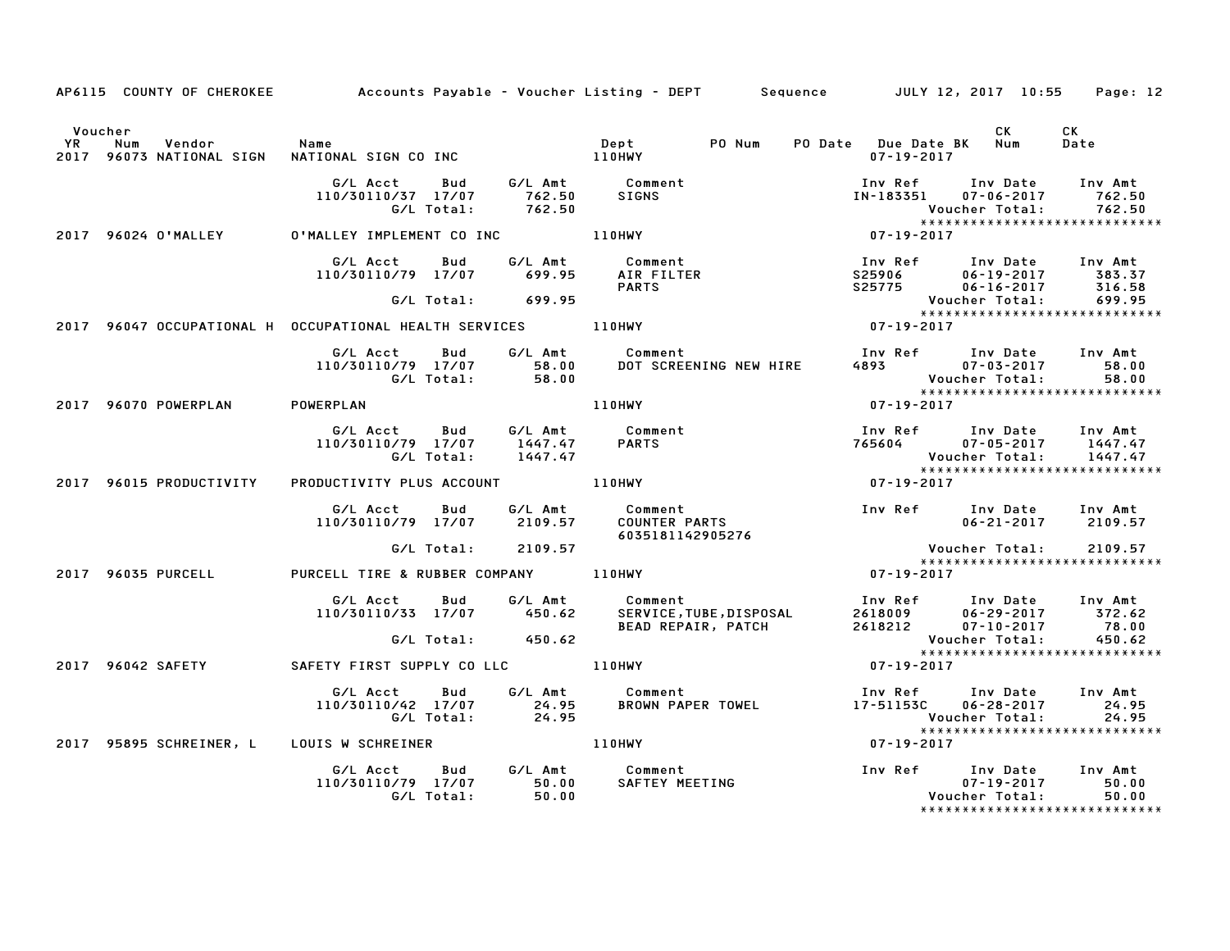|         |                                | AP6115 COUNTY OF CHEROKEE Accounts Payable - Voucher Listing - DEPT Sequence JULY 12, 2017 10:55 Page: 12 |                                                                                                                                                                                                                                         |                  |                                                                                                                         |            |
|---------|--------------------------------|-----------------------------------------------------------------------------------------------------------|-----------------------------------------------------------------------------------------------------------------------------------------------------------------------------------------------------------------------------------------|------------------|-------------------------------------------------------------------------------------------------------------------------|------------|
| Voucher |                                |                                                                                                           |                                                                                                                                                                                                                                         |                  | CK<br>PO Date Due Date BK Num<br>07-19-2017                                                                             | CK<br>Date |
|         |                                |                                                                                                           | G/L Acct Bud G/L Amt Comment Inv Ref Inv Date Inv Amt<br>110/30110/37 17/07 762.50 SIGNS IN-183351 07-06-2017 762.50<br>G/L Total: 762.50 S/L Total: 762.50                                                                             |                  |                                                                                                                         |            |
|         |                                | 2017 96024 O'MALLEY O'MALLEY IMPLEMENT CO INC 110HWY                                                      |                                                                                                                                                                                                                                         |                  |                                                                                                                         |            |
|         |                                | 110/30110/79 17/07 699.95                                                                                 | <b>PARTS</b>                                                                                                                                                                                                                            |                  |                                                                                                                         |            |
|         |                                | 2017 96047 OCCUPATIONAL H OCCUPATIONAL HEALTH SERVICES 110HWY                                             |                                                                                                                                                                                                                                         |                  |                                                                                                                         |            |
|         |                                |                                                                                                           | G/L Acct Bud G/L Amt Comment<br>110/30110/79 17/07 58.00 DOT SCREENING NEW HIRE<br>G/L Total: 58.00 DOT SCREENING NEW HIRE                                                                                                              |                  | Inv Ref Inv Date Inv Amt<br>4893 07-03-2017 58.00<br>Voucher Total: 58.00<br>****************************<br>07-19-2017 |            |
|         | 2017 96070 POWERPLAN POWERPLAN |                                                                                                           | 110HWY                                                                                                                                                                                                                                  |                  |                                                                                                                         |            |
|         |                                |                                                                                                           | G/L Acct Bud G/L Amt Comment Inv Ref Inv Date Inv Amt<br>110/30110/79 17/07 1447.47 PARTS 765604 07–05–2017 1447.47<br>G/L Total: 1447.47 PARTS 765604 07–05–2017 1447.47<br>110HWY 110HWY 07–19–2017 ********************************* |                  |                                                                                                                         |            |
|         | 2017 96015 PRODUCTIVITY        | PRODUCTIVITY PLUS ACCOUNT 110HWY                                                                          |                                                                                                                                                                                                                                         |                  |                                                                                                                         |            |
|         |                                |                                                                                                           | 6035181142905276                                                                                                                                                                                                                        |                  | $06 - 21 - 2017$ 2109.57                                                                                                |            |
|         |                                | G/L Total: 2109.57                                                                                        |                                                                                                                                                                                                                                         |                  | Voucher Total: 2109.57<br>*****************************<br>07-19-2017<br>******************************                 |            |
|         | 2017 96035 PURCELL             | PURCELL TIRE & RUBBER COMPANY 110HWY                                                                      |                                                                                                                                                                                                                                         |                  |                                                                                                                         |            |
|         |                                |                                                                                                           | 6/L Acct Bud G/L Amt Comment Inv Ref Inv Date Inv Amt<br>110/30110/33 17/07 450.62 SERVICE,TUBE,DISPOSAL 2618009 06-29-2017 372.62<br>6/L Total: 450.62 BEAD REPAIR, PATCH 2618212 07-10-2017 78.00<br>FETY FIRST SUPPLY COLLC 110HWY 0 |                  |                                                                                                                         |            |
|         |                                | 2017 96042 SAFETY <b>SAFETY FIRST SUPPLY CO LLC</b> 110HWY                                                |                                                                                                                                                                                                                                         |                  | *****************************                                                                                           |            |
|         |                                |                                                                                                           |                                                                                                                                                                                                                                         |                  | Voucher Total: 24.95<br>****************************                                                                    |            |
|         |                                | 2017 95895 SCHREINER, L LOUIS W SCHREINER THE RESERVED BLOHWY                                             |                                                                                                                                                                                                                                         | $07 - 19 - 2017$ |                                                                                                                         |            |
|         |                                |                                                                                                           |                                                                                                                                                                                                                                         |                  | ******************************                                                                                          |            |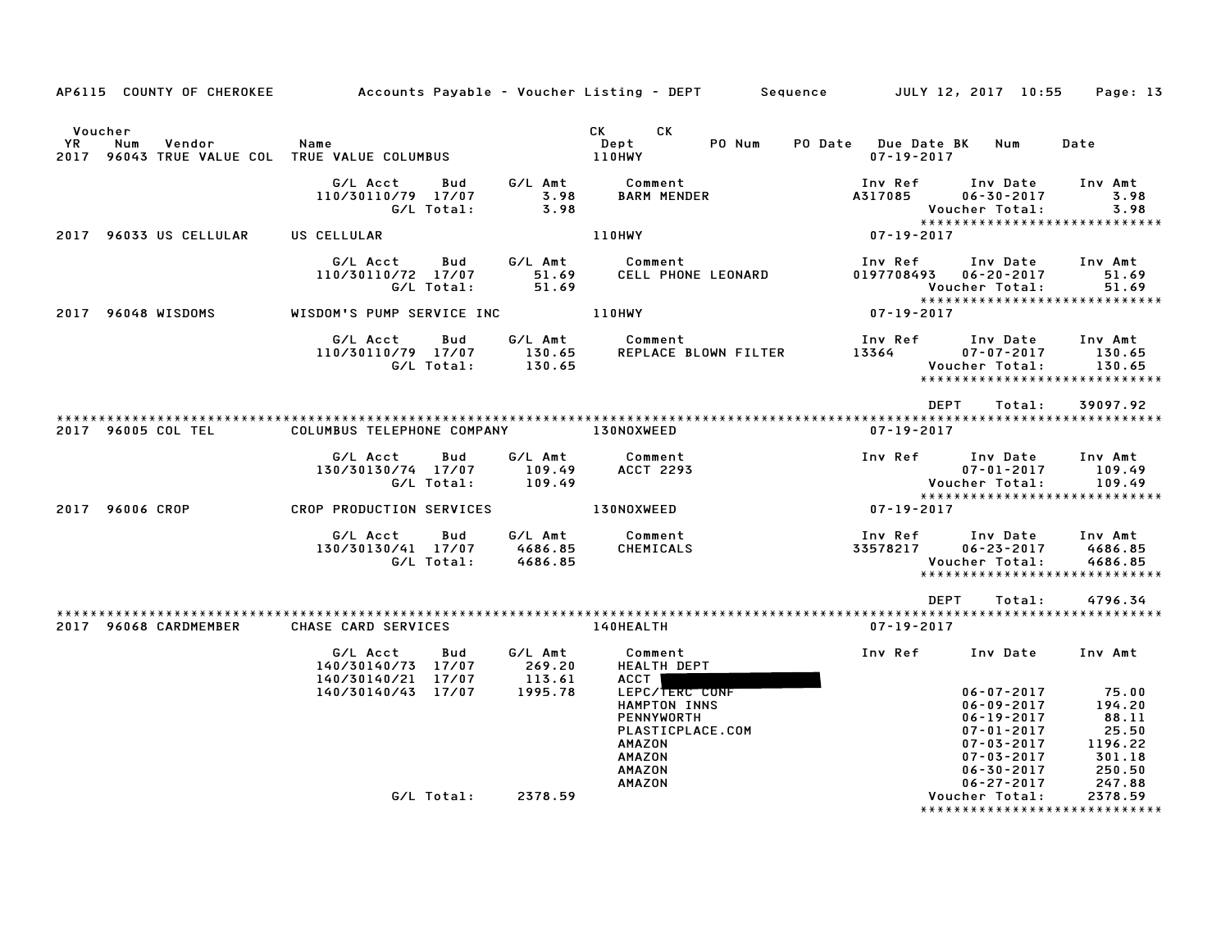|                                                                                 |                                                                        |                                                                                                                                                 | AP6115 COUNTY OF CHEROKEE Accounts Payable – Voucher Listing – DEPT Sequence JULY 12, 2017 10:55<br>Page: 13                                                                                                             |
|---------------------------------------------------------------------------------|------------------------------------------------------------------------|-------------------------------------------------------------------------------------------------------------------------------------------------|--------------------------------------------------------------------------------------------------------------------------------------------------------------------------------------------------------------------------|
| Voucher<br>YR<br>Num<br>Vendor<br>2017 96043 TRUE VALUE COL TRUE VALUE COLUMBUS | Name                                                                   | CK <sub>2</sub><br>CK<br>PO Num<br>Dept<br>110HWY                                                                                               | PO Date Due Date BK Num<br>Date<br>$07 - 19 - 2017$                                                                                                                                                                      |
|                                                                                 | G/L Acct<br>Bud<br>110/30110/79 17/07<br>3.98<br>G/L Total:            | G/L Amt<br>Comment<br><b>BARM MENDER</b><br>3.98                                                                                                | Inv Ref<br>Inv Date<br>Inv Amt<br>A317085<br>$06 - 30 - 2017$<br>3.98<br>3.98<br>Voucher Total:<br>*****************************                                                                                         |
| 2017 96033 US CELLULAR                                                          | US CELLULAR                                                            | 110HWY                                                                                                                                          | 07-19-2017                                                                                                                                                                                                               |
|                                                                                 | G/L Amt<br>G/L Acct<br>Bud<br>110/30110/72 17/07<br>G/L Total:         | Comment<br>51.69<br>CELL PHONE LEONARD<br>51.69                                                                                                 | Inv Ref<br>Inv Date<br>Inv Amt<br>0197708493  06-20-2017<br>51.69<br>51.69<br>Voucher Total:                                                                                                                             |
| 2017 96048 WISDOMS                                                              | WISDOM'S PUMP SERVICE INC                                              | <b>110HWY</b>                                                                                                                                   | *****************************<br>07-19-2017                                                                                                                                                                              |
|                                                                                 | G/L Acct<br>Bud<br>110/30110/79 17/07<br>G/L Total:<br>130.65          | G/L Amt<br>Comment<br>130.65<br>REPLACE BLOWN FILTER                                                                                            | Inv Ref<br>Inv Amt<br>Inv Date<br>13364<br>$07 - 07 - 2017$<br>130.65<br>Voucher Total:<br>130.65<br>*****************************                                                                                       |
|                                                                                 |                                                                        |                                                                                                                                                 | <b>DEPT</b><br>Total:<br>39097.92                                                                                                                                                                                        |
| 2017 96005 COL TEL                                                              | COLUMBUS TELEPHONE COMPANY                                             | <b>130NOXWEED</b>                                                                                                                               | $07 - 19 - 2017$                                                                                                                                                                                                         |
|                                                                                 | G/L Acct<br>G/L Amt<br>Bud<br>130/30130/74 17/07<br>G/L Total:         | Comment<br>109.49<br><b>ACCT 2293</b><br>109.49                                                                                                 | Inv Ref<br>Inv Date<br>Inv Amt<br>$07 - 01 - 2017$<br>109.49<br>Voucher Total:<br>109.49                                                                                                                                 |
| 2017 96006 CROP                                                                 | CROP PRODUCTION SERVICES                                               | 130NOXWEED                                                                                                                                      | *****************************<br>07-19-2017                                                                                                                                                                              |
|                                                                                 | G/L Acct<br>Bud<br>130/30130/41 17/07<br>4686.85<br>G/L Total:         | G/L Amt<br>Comment<br>CHEMICALS<br>4686.85                                                                                                      | Inv Ref<br>Inv Date<br>Inv Amt<br>33578217<br>$06 - 23 - 2017$<br>4686.85<br><b>Voucher Total:</b><br>4686.85<br>*****************************                                                                           |
|                                                                                 |                                                                        |                                                                                                                                                 | <b>DEPT</b><br>Total:<br>4796.34                                                                                                                                                                                         |
| 2017 96068 CARDMEMBER                                                           | CHASE CARD SERVICES                                                    | <b>140HEALTH</b>                                                                                                                                | $07 - 19 - 2017$                                                                                                                                                                                                         |
|                                                                                 | G/L Amt<br>G/L Acct<br>Bud<br>140/30140/73 17/07<br>140/30140/21 17/07 | Comment<br>269.20<br><b>HEALTH DEPT</b><br>113.61<br>ACCT                                                                                       | Inv Ref<br>Inv Amt<br>Inv Date                                                                                                                                                                                           |
|                                                                                 | 140/30140/43 17/07                                                     | LEPC/TERC CONF<br>1995.78<br>HAMPTON INNS<br><b>PENNYWORTH</b><br>PLASTICPLACE.COM<br>AMAZON<br><b>AMAZON</b><br><b>AMAZON</b><br><b>AMAZON</b> | $06 - 07 - 2017$<br>75.00<br>$06 - 09 - 2017$<br>194.20<br>88.11<br>06-19-2017<br>25.50<br>07-01-2017<br>07-03-2017<br>1196.22<br>301.18<br>$07 - 03 - 2017$<br>250.50<br>$06 - 30 - 2017$<br>$06 - 27 - 2017$<br>247.88 |
|                                                                                 | G/L Total:                                                             | 2378.59                                                                                                                                         | Voucher Total:<br>2378.59<br>*****************<br>************                                                                                                                                                           |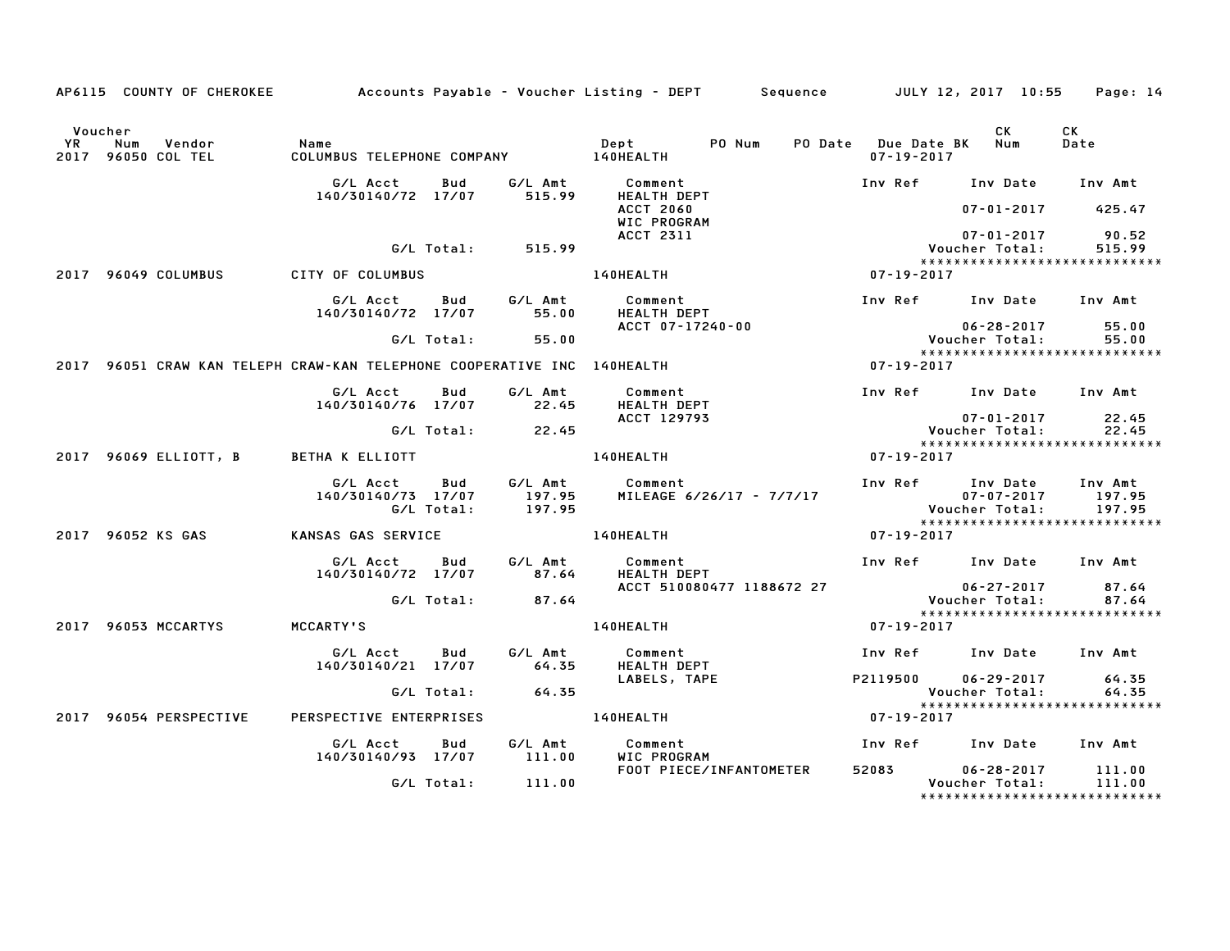|    |                                                                         |                                |            |                   | AP6115 COUNTY OF CHEROKEE Accounts Payable – Voucher Listing – DEPT Sequence JULY 12, 2017 10:55 Page: 14 |                  |                                                                 |                   |
|----|-------------------------------------------------------------------------|--------------------------------|------------|-------------------|-----------------------------------------------------------------------------------------------------------|------------------|-----------------------------------------------------------------|-------------------|
| YR | Voucher<br>Num<br>Vendor<br>2017 96050 COL TEL                          | Name                           |            |                   | PO Num<br>Dept                                                                                            | $07 - 19 - 2017$ | CK.<br>PO Date Due Date BK Num                                  | CK<br>Date        |
|    |                                                                         | G/L Acct                       | Bud        | G/L Amt           | Comment                                                                                                   |                  | Inv Ref Inv Date                                                | Inv Amt           |
|    |                                                                         | 140/30140/72 17/07             |            | 515.99            | HEALTH DEPT<br><b>ACCT 2060</b><br>WIC PROGRAM                                                            |                  | $07 - 01 - 2017$                                                | 425.47            |
|    |                                                                         |                                | G/L Total: | 515.99            | ACCT 2311                                                                                                 |                  | $07 - 01 - 2017$<br>Voucher Total:                              | 90.52<br>515.99   |
|    |                                                                         |                                |            |                   |                                                                                                           |                  | *****************************                                   |                   |
|    | 2017 96049 COLUMBUS                                                     | CITY OF COLUMBUS               |            |                   | <b>140HEALTH</b>                                                                                          | $07 - 19 - 2017$ |                                                                 |                   |
|    |                                                                         | G/L Acct<br>140/30140/72 17/07 | Bud        | G/L Amt<br>55.00  | Comment<br>HEALTH DEPT                                                                                    |                  | Inv Ref Inv Date                                                | Inv Amt           |
|    |                                                                         |                                | G/L Total: | 55.00             | ACCT 07-17240-00                                                                                          |                  | $06 - 28 - 2017$<br>Voucher Total:                              | 55.00<br>55.00    |
|    |                                                                         |                                |            |                   |                                                                                                           |                  | *****************************                                   |                   |
|    | 2017 96051 CRAW KAN TELEPH CRAW-KAN TELEPHONE COOPERATIVE INC 140HEALTH |                                |            |                   |                                                                                                           | 07-19-2017       |                                                                 |                   |
|    |                                                                         | G/L Acct<br>140/30140/76 17/07 | Bud        | G/L Amt<br>22.45  | Comment<br><b>HEALTH DEPT</b>                                                                             |                  | Inv Ref Inv Date Inv Amt                                        |                   |
|    |                                                                         |                                | G/L Total: | 22.45             | ACCT 129793                                                                                               |                  | $07 - 01 - 2017$<br>Voucher Total:                              | 22.45<br>22.45    |
|    |                                                                         |                                |            |                   |                                                                                                           |                  | ******************************                                  |                   |
|    | 2017 96069 ELLIOTT, B BETHA K ELLIOTT                                   |                                |            |                   | 140HEALTH                                                                                                 | 07-19-2017       |                                                                 |                   |
|    |                                                                         | G/L Acct<br>140/30140/73 17/07 | Bud        | G/L Amt<br>197.95 | Comment<br>MILEAGE 6/26/17 - 7/7/17                                                                       |                  | Inv Ref Inv Date<br>$07 - 07 - 2017$                            | Inv Amt<br>197.95 |
|    |                                                                         |                                | G/L Total: | 197.95            |                                                                                                           |                  | <b>Voucher Total:</b>                                           | 197.95            |
|    | 2017 96052 KS GAS                                                       | KANSAS GAS SERVICE             |            |                   | 140HEALTH                                                                                                 | 07-19-2017       |                                                                 |                   |
|    |                                                                         | G/L Acct<br>140/30140/72 17/07 | Bud        | G/L Amt<br>87.64  | Comment<br>HEALTH DEPT                                                                                    |                  | Inv Ref Inv Date Inv Amt                                        |                   |
|    |                                                                         |                                |            |                   | ACCT 510080477 1188672 27                                                                                 |                  | $06 - 27 - 2017$<br>uo ∠. –<br>Voucher Total:<br>Voucher Total: | 87.64             |
|    |                                                                         |                                | G/L Total: | 87.64             |                                                                                                           |                  | *****************************                                   | 87.64             |
|    | 2017 96053 MCCARTYS                                                     | MCCARTY'S                      |            |                   | 140HEALTH                                                                                                 | $07 - 19 - 2017$ |                                                                 |                   |
|    |                                                                         | G/L Acct<br>140/30140/21 17/07 | Bud        | G/L Amt<br>64.35  | Comment<br><b>HEALTH DEPT</b>                                                                             |                  | Inv Ref Inv Date Inv Amt                                        |                   |
|    |                                                                         |                                |            |                   | LABELS, TAPE                                                                                              | P2119500         | $06 - 29 - 2017$                                                | 64.35             |
|    |                                                                         |                                | G/L Total: | 64.35             |                                                                                                           |                  | Voucher Total:<br>******************************                | 64.35             |
|    | 2017 96054 PERSPECTIVE                                                  | PERSPECTIVE ENTERPRISES        |            |                   | 140HEALTH                                                                                                 | 07-19-2017       |                                                                 |                   |
|    |                                                                         | G/L Acct<br>140/30140/93 17/07 | Bud        | G/L Amt<br>111.00 | Comment<br>WIC PROGRAM                                                                                    |                  | Inv Ref Inv Date                                                | Inv Amt           |
|    |                                                                         |                                | G/L Total: | 111.00            | FOOT PIECE/INFANTOMETER                                                                                   |                  | 52083 06-28-2017<br>Voucher Total:                              | 111.00<br>111.00  |
|    |                                                                         |                                |            |                   |                                                                                                           |                  | *******************************                                 |                   |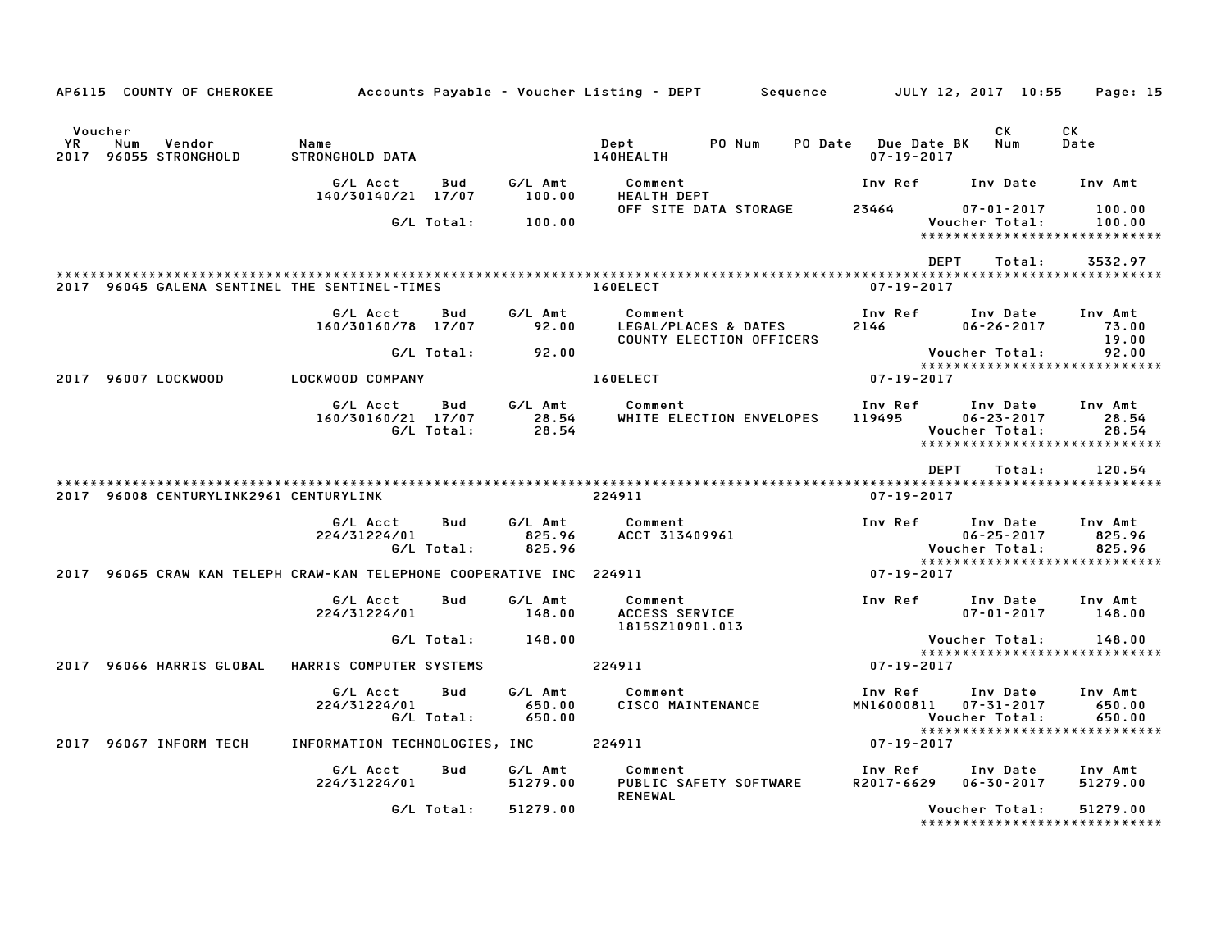|                              | AP6115 COUNTY OF CHEROKEE                                            |                                |                          |                             | Accounts Payable – Voucher Listing – DEPT<br>Sequence       |                                         | JULY 12, 2017 10:55                                     | Page: 15                    |
|------------------------------|----------------------------------------------------------------------|--------------------------------|--------------------------|-----------------------------|-------------------------------------------------------------|-----------------------------------------|---------------------------------------------------------|-----------------------------|
| Voucher<br><b>YR</b><br>2017 | Num<br>Vendor<br>96055 STRONGHOLD                                    | Name<br>STRONGHOLD DATA        |                          |                             | Dept<br>PO Num<br>140HEALTH                                 | PO Date Due Date BK<br>$07 - 19 - 2017$ | CK<br>Num                                               | CK<br>Date                  |
|                              |                                                                      | G/L Acct<br>140/30140/21 17/07 | Bud                      | G/L Amt<br>100.00           | Comment<br>HEALTH DEPT                                      | Inv Ref                                 | Inv Date                                                | Inv Amt                     |
|                              |                                                                      |                                | G/L Total:               | 100.00                      | OFF SITE DATA STORAGE                                       | 23464                                   | $07 - 01 - 2017$<br>Voucher Total:                      | 100.00<br>100.00            |
|                              |                                                                      |                                |                          |                             |                                                             |                                         | ******************************<br><b>DEPT</b><br>Total: | 3532.97                     |
|                              | 2017 96045 GALENA SENTINEL THE SENTINEL-TIMES                        |                                |                          |                             | 160ELECT                                                    | $07 - 19 - 2017$                        |                                                         |                             |
|                              |                                                                      |                                |                          |                             |                                                             |                                         |                                                         |                             |
|                              |                                                                      | G/L Acct<br>160/30160/78 17/07 | Bud                      | G/L Amt<br>92.00            | Comment<br>LEGAL/PLACES & DATES<br>COUNTY ELECTION OFFICERS | Inv Ref<br>2146                         | Inv Date<br>$06 - 26 - 2017$                            | Inv Amt<br>73.00<br>19.00   |
|                              |                                                                      |                                | G/L Total:               | 92.00                       |                                                             |                                         | Voucher Total:                                          | 92.00                       |
|                              | 2017 96007 LOCKWOOD                                                  | LOCKWOOD COMPANY               |                          |                             | 160ELECT                                                    | $07 - 19 - 2017$                        |                                                         |                             |
|                              |                                                                      | G/L Acct<br>160/30160/21 17/07 | Bud<br>G/L Total:        | G/L Amt<br>28.54            | Comment<br>WHITE ELECTION ENVELOPES                         | Inv Ref<br>119495                       | Inv Date<br>$06 - 23 - 2017$                            | Inv Amt<br>28.54<br>28.54   |
|                              |                                                                      |                                |                          | 28.54                       |                                                             |                                         | Voucher Total:<br>*****************************         |                             |
|                              |                                                                      |                                |                          |                             |                                                             |                                         | <b>DEPT</b><br>Total:                                   | 120.54                      |
|                              |                                                                      |                                |                          |                             |                                                             |                                         |                                                         |                             |
|                              |                                                                      |                                |                          |                             |                                                             |                                         |                                                         |                             |
|                              | 2017 96008 CENTURYLINK2961 CENTURYLINK                               |                                |                          |                             | 224911                                                      | $07 - 19 - 2017$                        |                                                         |                             |
|                              |                                                                      | G/L Acct<br>224/31224/01       | Bud                      | G/L Amt<br>825.96           | Comment<br>ACCT 313409961                                   | Inv Ref                                 | Inv Date<br>$06 - 25 - 2017$                            | Inv Amt<br>825.96           |
|                              |                                                                      |                                | G/L Total:               | 825.96                      |                                                             |                                         | Voucher Total:<br>*****************************         | 825.96                      |
|                              | 2017 96065 CRAW KAN TELEPH CRAW-KAN TELEPHONE COOPERATIVE INC 224911 |                                |                          |                             |                                                             | 07-19-2017                              |                                                         |                             |
|                              |                                                                      | G/L Acct<br>224/31224/01       | Bud                      | G/L Amt<br>148.00           | Comment<br>ACCESS SERVICE                                   | Inv Ref                                 | Inv Date<br>$07 - 01 - 2017$                            | Inv Amt<br>148.00           |
|                              |                                                                      |                                | G/L Total:               | 148.00                      | 1815SZ10901.013                                             |                                         | Voucher Total:                                          | 148.00                      |
|                              | 2017 96066 HARRIS GLOBAL                                             | HARRIS COMPUTER SYSTEMS        |                          |                             | 224911                                                      | $07 - 19 - 2017$                        | *****************************                           |                             |
|                              |                                                                      | G/L Acct<br>224/31224/01       | <b>Bud</b><br>G/L Total: | G/L Amt<br>650.00<br>650.00 | Comment<br>CISCO MAINTENANCE                                | Inv Ref<br>MN16000811                   | Inv Date<br>07-31-2017<br>Voucher Total:                | Inv Amt<br>650.00<br>650.00 |
|                              |                                                                      |                                |                          |                             |                                                             |                                         | ******************************                          |                             |
| 2017                         | 96067 INFORM TECH                                                    | INFORMATION TECHNOLOGIES, INC  |                          |                             | 224911                                                      | 07-19-2017                              |                                                         |                             |
|                              |                                                                      | G/L Acct<br>224/31224/01       | Bud                      | G/L Amt<br>51279.00         | Comment<br>PUBLIC SAFETY SOFTWARE<br><b>RENEWAL</b>         | Inv Ref<br>R2017-6629                   | Inv Date<br>$06 - 30 - 2017$                            | Inv Amt<br>51279.00         |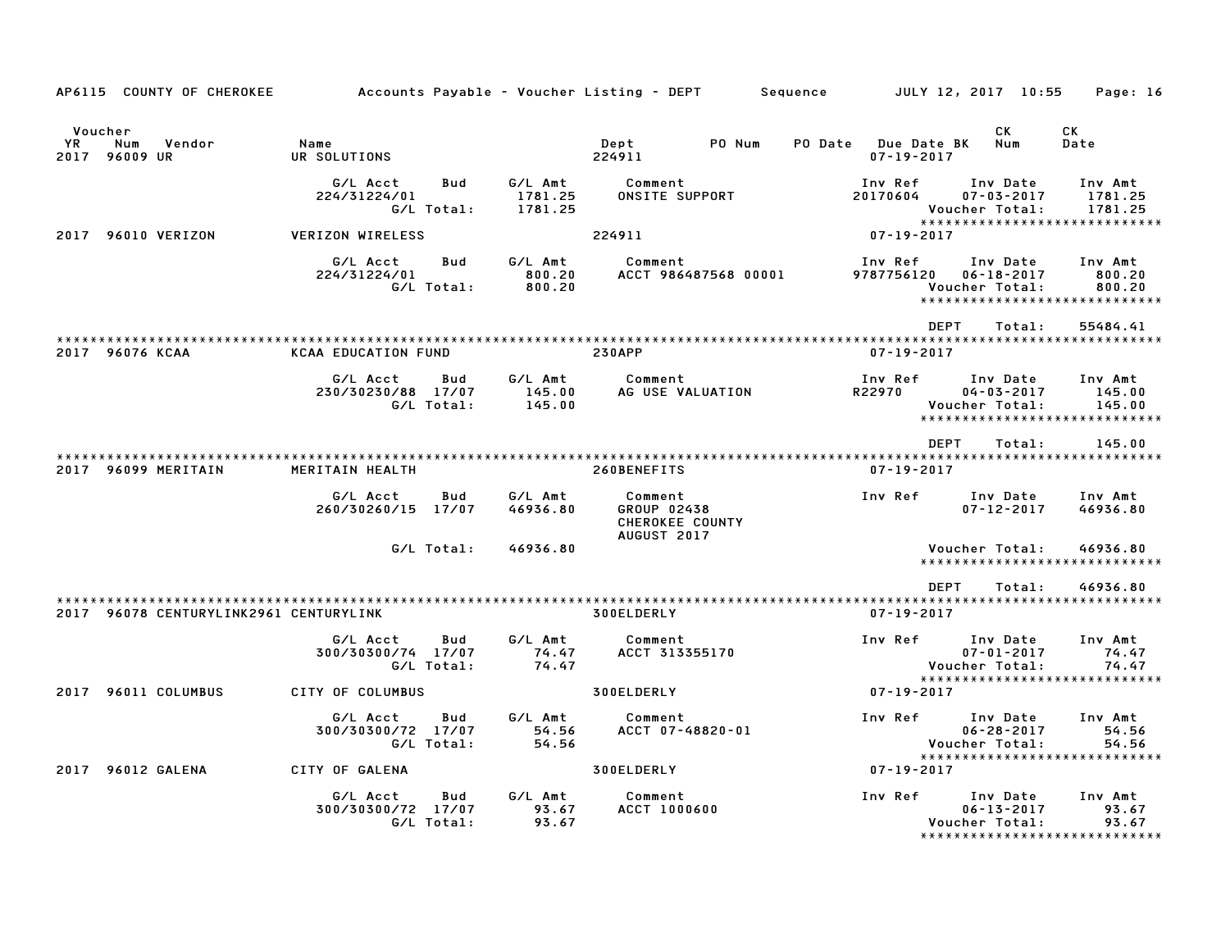| AP6115 COUNTY OF CHEROKEE                        |                                                     |                               | Accounts Payable – Voucher Listing – DEPT<br>Sequence           | JULY 12, 2017 10:55                     | Page: 16                                                                                       |
|--------------------------------------------------|-----------------------------------------------------|-------------------------------|-----------------------------------------------------------------|-----------------------------------------|------------------------------------------------------------------------------------------------|
| Voucher<br>YR.<br>Num<br>Vendor<br>2017 96009 UR | Name<br>UR SOLUTIONS                                |                               | PO Num<br>Dept<br>224911                                        | PO Date Due Date BK<br>$07 - 19 - 2017$ | CK<br>СK<br>Num<br>Date                                                                        |
|                                                  | G/L Acct<br>Bud<br>224/31224/01<br>G/L Total:       | G/L Amt<br>1781.25<br>1781.25 | Comment<br>ONSITE SUPPORT                                       | Inv Ref<br>20170604<br>Voucher Total:   | Inv Date<br>Inv Amt<br>$07 - 03 - 2017$<br>1781.25<br>1781.25<br>***************************** |
| 2017 96010 VERIZON                               | <b>VERIZON WIRELESS</b>                             |                               | 224911                                                          | 07-19-2017                              |                                                                                                |
|                                                  | G/L Acct<br>Bud<br>224/31224/01<br>G/L Total:       | G/L Amt<br>800.20<br>800.20   | Comment<br>ACCT 986487568 00001                                 | Inv Ref<br>9787756120<br>Voucher Total: | Inv Date<br>Inv Amt<br>$06 - 18 - 2017$<br>800.20<br>800.20<br>******************************  |
|                                                  |                                                     |                               |                                                                 | <b>DEPT</b>                             | Total:<br>55484.41                                                                             |
| 2017 96076 KCAA                                  | <b>KCAA EDUCATION FUND</b>                          |                               | <b>230APP</b>                                                   | $07 - 19 - 2017$                        |                                                                                                |
|                                                  | G/L Acct<br>Bud<br>230/30230/88 17/07<br>G/L Total: | G/L Amt<br>145.00<br>145.00   | Comment<br>AG USE VALUATION                                     | Inv Ref<br>R22970<br>Voucher Total:     | Inv Date<br>Inv Amt<br>$04 - 03 - 2017$<br>145.00<br>145.00<br>*****************************   |
|                                                  |                                                     |                               |                                                                 | <b>DEPT</b>                             | Total:<br>145.00                                                                               |
| 2017 96099 MERITAIN                              | MERITAIN HEALTH                                     |                               | 260BENEFITS                                                     | $07 - 19 - 2017$                        |                                                                                                |
|                                                  | G/L Acct<br>Bud<br>260/30260/15 17/07               | G/L Amt<br>46936.80           | Comment<br>GROUP 02438<br>CHEROKEE COUNTY<br><b>AUGUST 2017</b> | Inv Ref                                 | Inv Date<br>Inv Amt<br>$07 - 12 - 2017$<br>46936.80                                            |
|                                                  | G/L Total:                                          | 46936.80                      |                                                                 | Voucher Total:                          | 46936.80<br>*****************************                                                      |
| 2017 96078 CENTURYLINK2961 CENTURYLINK           |                                                     |                               | 300ELDERLY                                                      | <b>DEPT</b><br>$07 - 19 - 2017$         | 46936.80<br>Total:                                                                             |
|                                                  | G/L Acct<br>Bud<br>300/30300/74 17/07<br>G/L Total: | G/L Amt<br>74.47<br>74.47     | Comment<br>ACCT 313355170                                       | Inv Ref<br>Voucher Total:               | Inv Date<br>Inv Amt<br>$07 - 01 - 2017$<br>74.47<br>74.47                                      |
| 2017 96011 COLUMBUS                              | CITY OF COLUMBUS                                    |                               | 300ELDERLY                                                      | 07-19-2017                              | *****************************                                                                  |
|                                                  | Bud<br>G/L Acct<br>300/30300/72 17/07<br>G/L Total: | G/L Amt<br>54.56<br>54.56     | Comment<br>ACCT 07-48820-01                                     | Inv Ref<br>Voucher Total:               | Inv Date<br>Inv Amt<br>$06 - 28 - 2017$<br>54.56<br>54.56<br>******************************    |
| 2017 96012 GALENA                                | CITY OF GALENA                                      |                               | 300ELDERLY                                                      | 07-19-2017                              |                                                                                                |
|                                                  | G/L Acct<br>Bud<br>300/30300/72 17/07<br>G/L Total: | G/L Amt<br>93.67<br>93.67     | Comment<br>ACCT 1000600                                         | Inv Ref<br>Voucher Total:               | Inv Amt<br>Inv Date<br>$06 - 13 - 2017$<br>93.67<br>93.67<br>*****************************     |